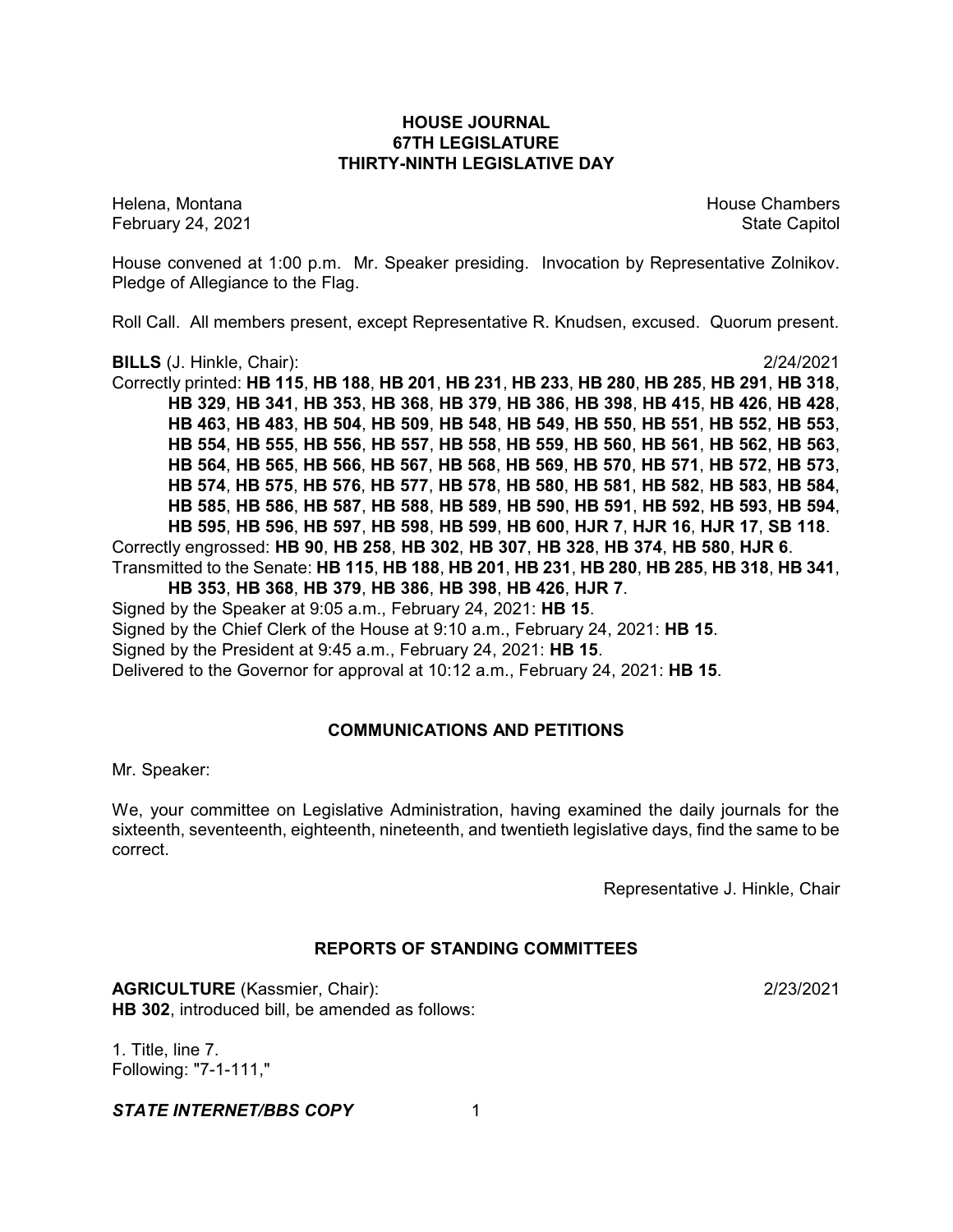# **HOUSE JOURNAL 67TH LEGISLATURE THIRTY-NINTH LEGISLATIVE DAY**

February 24, 2021 **State Capitol** 

Helena, Montana House Chambers Chambers Chambers and House Chambers Chambers Chambers Chambers Chambers Chambers

House convened at 1:00 p.m. Mr. Speaker presiding. Invocation by Representative Zolnikov. Pledge of Allegiance to the Flag.

Roll Call. All members present, except Representative R. Knudsen, excused. Quorum present.

**BILLS** (J. Hinkle, Chair): 2/24/2021

Correctly printed: **HB 115**, **HB 188**, **HB 201**, **HB 231**, **HB 233**, **HB 280**, **HB 285**, **HB 291**, **HB 318**, **HB 329**, **HB 341**, **HB 353**, **HB 368**, **HB 379**, **HB 386**, **HB 398**, **HB 415**, **HB 426**, **HB 428**, **HB 463**, **HB 483**, **HB 504**, **HB 509**, **HB 548**, **HB 549**, **HB 550**, **HB 551**, **HB 552**, **HB 553**, **HB 554**, **HB 555**, **HB 556**, **HB 557**, **HB 558**, **HB 559**, **HB 560**, **HB 561**, **HB 562**, **HB 563**, **HB 564**, **HB 565**, **HB 566**, **HB 567**, **HB 568**, **HB 569**, **HB 570**, **HB 571**, **HB 572**, **HB 573**, **HB 574**, **HB 575**, **HB 576**, **HB 577**, **HB 578**, **HB 580**, **HB 581**, **HB 582**, **HB 583**, **HB 584**, **HB 585**, **HB 586**, **HB 587**, **HB 588**, **HB 589**, **HB 590**, **HB 591**, **HB 592**, **HB 593**, **HB 594**, **HB 595**, **HB 596**, **HB 597**, **HB 598**, **HB 599**, **HB 600**, **HJR 7**, **HJR 16**, **HJR 17**, **SB 118**. Correctly engrossed: **HB 90**, **HB 258**, **HB 302**, **HB 307**, **HB 328**, **HB 374**, **HB 580**, **HJR 6**. Transmitted to the Senate: **HB 115**, **HB 188**, **HB 201**, **HB 231**, **HB 280**, **HB 285**, **HB 318**, **HB 341**, **HB 353**, **HB 368**, **HB 379**, **HB 386**, **HB 398**, **HB 426**, **HJR 7**.

Signed by the Speaker at 9:05 a.m., February 24, 2021: **HB 15**. Signed by the Chief Clerk of the House at 9:10 a.m., February 24, 2021: **HB 15**. Signed by the President at 9:45 a.m., February 24, 2021: **HB 15**. Delivered to the Governor for approval at 10:12 a.m., February 24, 2021: **HB 15**.

# **COMMUNICATIONS AND PETITIONS**

Mr. Speaker:

We, your committee on Legislative Administration, having examined the daily journals for the sixteenth, seventeenth, eighteenth, nineteenth, and twentieth legislative days, find the same to be correct.

Representative J. Hinkle, Chair

# **REPORTS OF STANDING COMMITTEES**

**AGRICULTURE** (Kassmier, Chair): 2/23/2021 **HB 302**, introduced bill, be amended as follows:

1. Title, line 7. Following: "7-1-111,"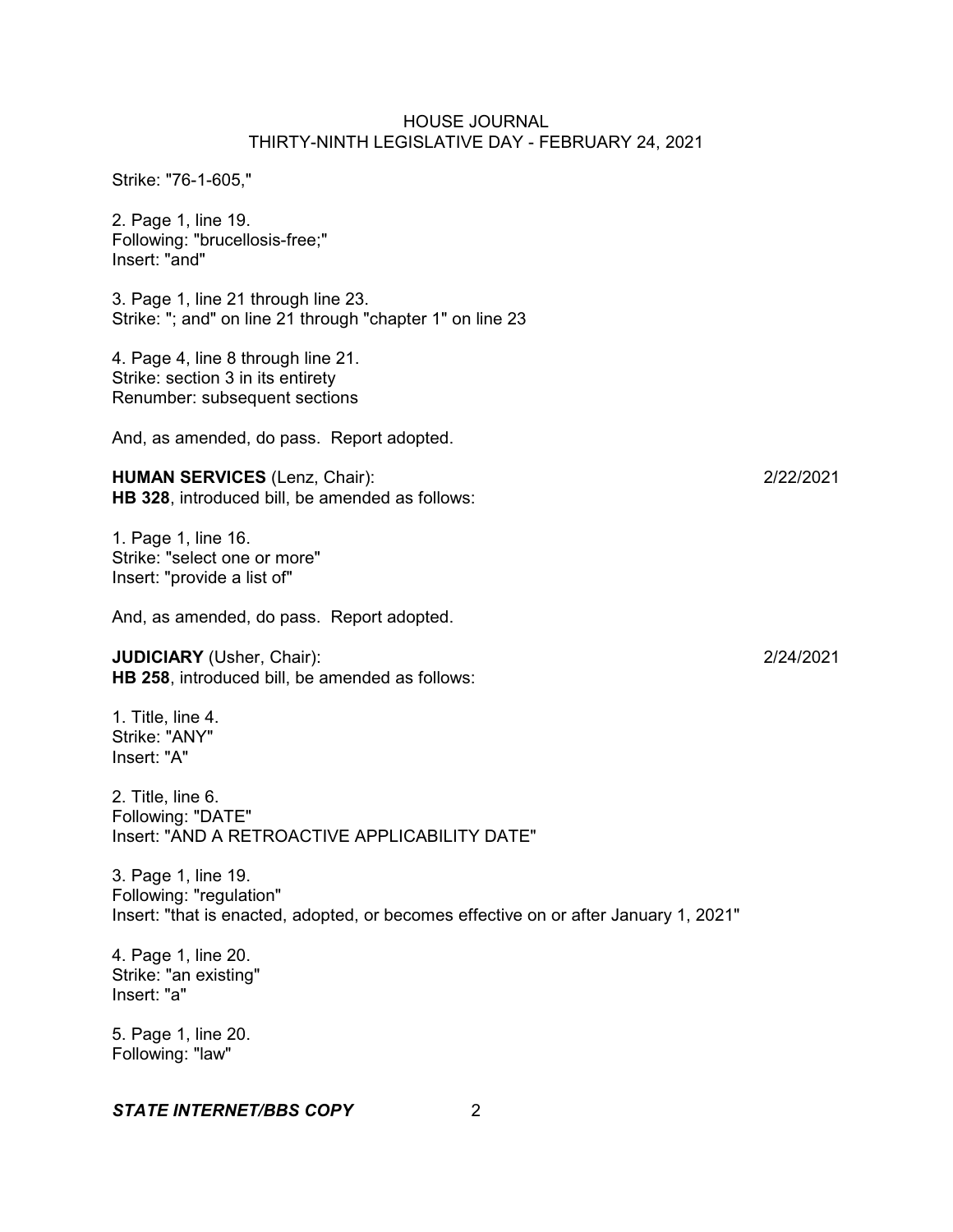Strike: "76-1-605,"

2. Page 1, line 19. Following: "brucellosis-free;" Insert: "and"

3. Page 1, line 21 through line 23. Strike: "; and" on line 21 through "chapter 1" on line 23

4. Page 4, line 8 through line 21. Strike: section 3 in its entirety Renumber: subsequent sections

And, as amended, do pass. Report adopted.

**HUMAN SERVICES** (Lenz, Chair): 2/22/2021 **HB 328**, introduced bill, be amended as follows:

1. Page 1, line 16. Strike: "select one or more" Insert: "provide a list of"

And, as amended, do pass. Report adopted.

**JUDICIARY** (Usher, Chair): 2/24/2021 **HB 258**, introduced bill, be amended as follows:

1. Title, line 4. Strike: "ANY" Insert: "A"

2. Title, line 6. Following: "DATE" Insert: "AND A RETROACTIVE APPLICABILITY DATE"

3. Page 1, line 19. Following: "regulation" Insert: "that is enacted, adopted, or becomes effective on or after January 1, 2021"

4. Page 1, line 20. Strike: "an existing" Insert: "a"

5. Page 1, line 20. Following: "law"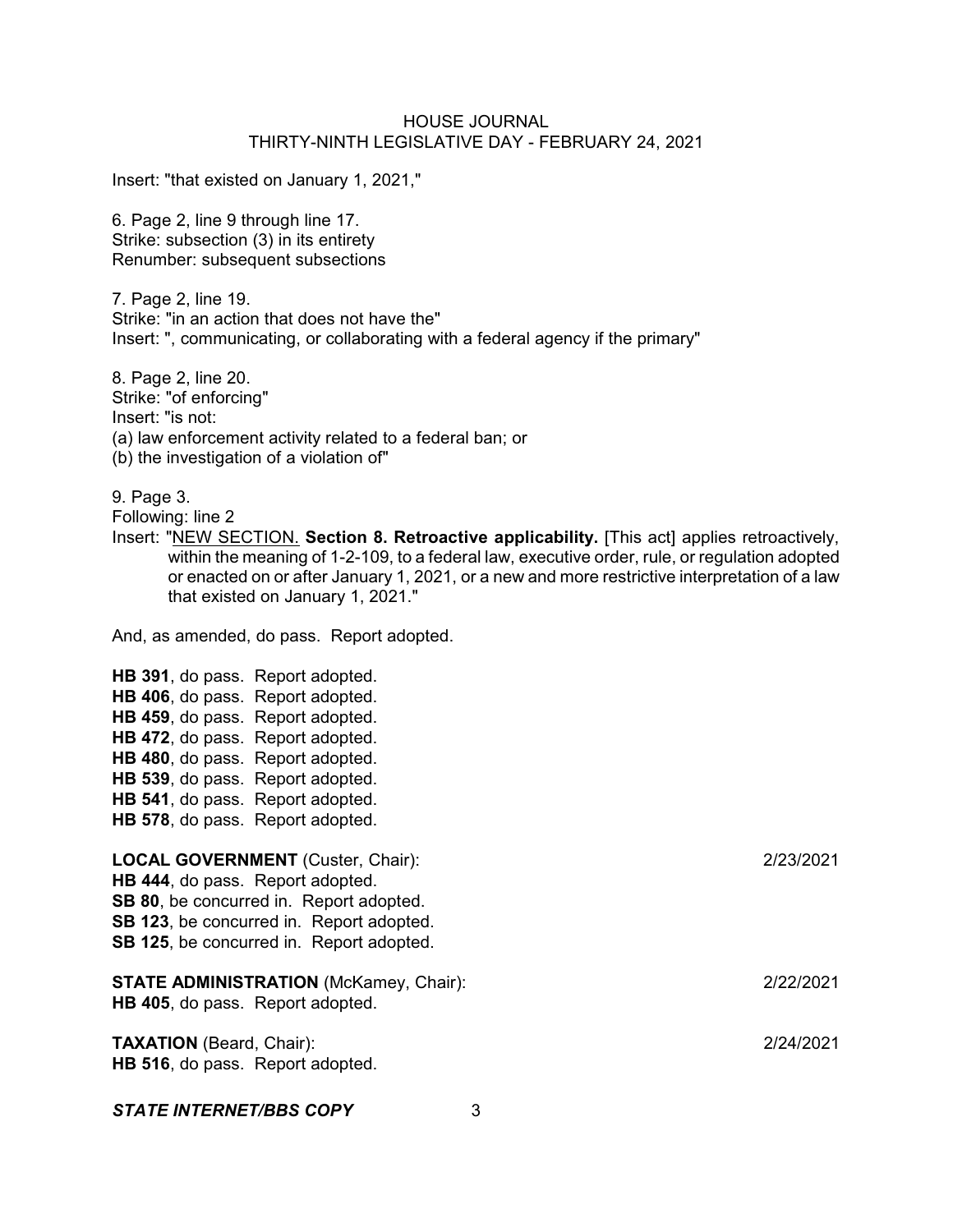Insert: "that existed on January 1, 2021,"

6. Page 2, line 9 through line 17. Strike: subsection (3) in its entirety Renumber: subsequent subsections

7. Page 2, line 19. Strike: "in an action that does not have the" Insert: ", communicating, or collaborating with a federal agency if the primary"

8. Page 2, line 20. Strike: "of enforcing" Insert: "is not: (a) law enforcement activity related to a federal ban; or (b) the investigation of a violation of"

9. Page 3.

Following: line 2

Insert: "NEW SECTION. **Section 8. Retroactive applicability.** [This act] applies retroactively, within the meaning of 1-2-109, to a federal law, executive order, rule, or regulation adopted or enacted on or after January 1, 2021, or a new and more restrictive interpretation of a law that existed on January 1, 2021."

And, as amended, do pass. Report adopted.

**HB 391**, do pass. Report adopted. **HB 406**, do pass. Report adopted. **HB 459**, do pass. Report adopted. **HB 472**, do pass. Report adopted. **HB 480**, do pass. Report adopted. **HB 539**, do pass. Report adopted. **HB 541**, do pass. Report adopted. **HB 578**, do pass. Report adopted.

| 2/23/2021 |
|-----------|
|           |
|           |
|           |
|           |
| 2/22/2021 |
| 2/24/2021 |
|           |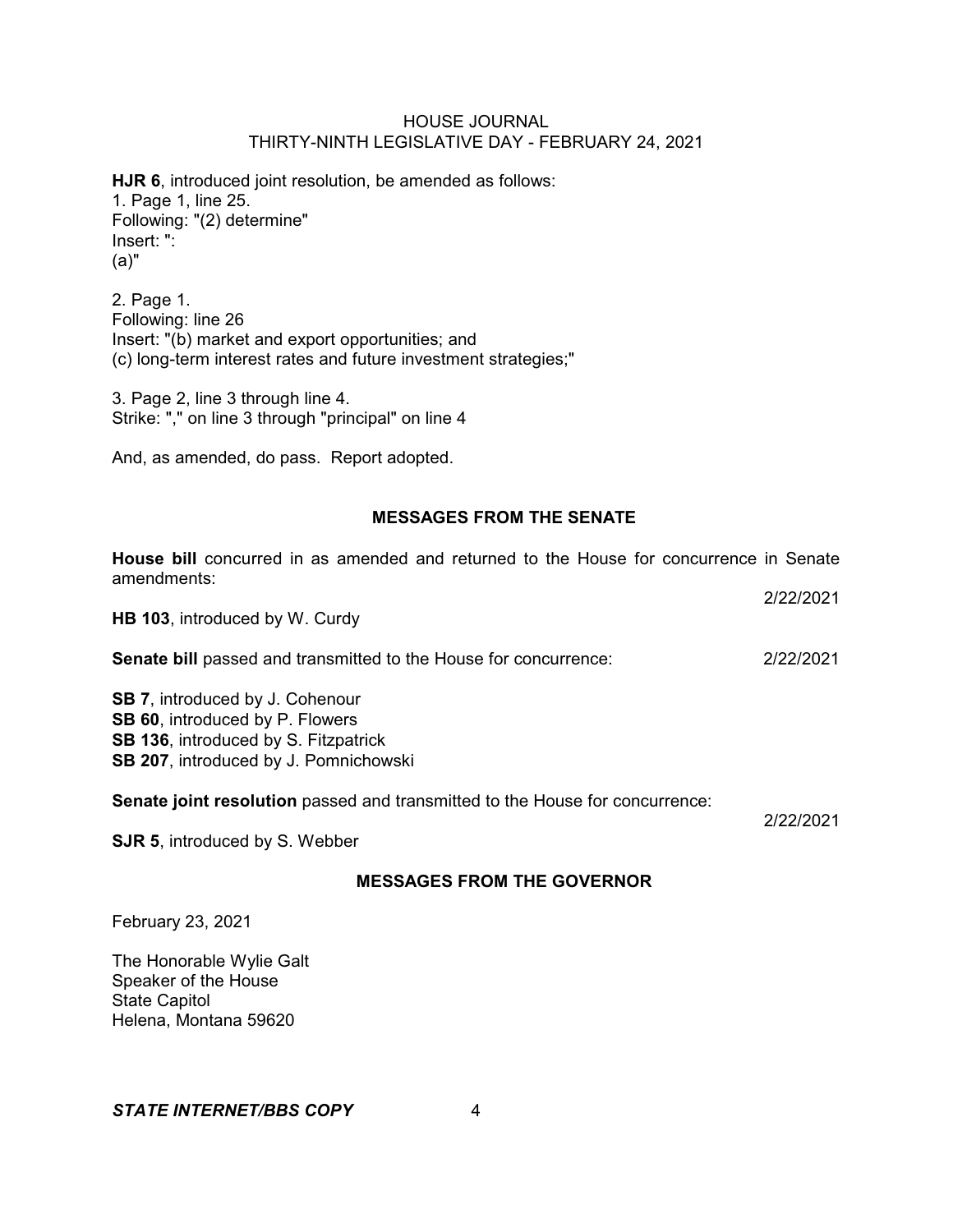**HJR 6**, introduced joint resolution, be amended as follows: 1. Page 1, line 25. Following: "(2) determine" Insert: ": (a)"

2. Page 1. Following: line 26 Insert: "(b) market and export opportunities; and (c) long-term interest rates and future investment strategies;"

3. Page 2, line 3 through line 4. Strike: "," on line 3 through "principal" on line 4

And, as amended, do pass. Report adopted.

# **MESSAGES FROM THE SENATE**

2/22/2021

**House bill** concurred in as amended and returned to the House for concurrence in Senate amendments:

| <b>MESSAGES FROM THE GOVERNOR</b>                                                                                                                                 |           |
|-------------------------------------------------------------------------------------------------------------------------------------------------------------------|-----------|
| <b>SJR 5, introduced by S. Webber</b>                                                                                                                             |           |
| Senate joint resolution passed and transmitted to the House for concurrence:                                                                                      | 2/22/2021 |
| <b>SB 7.</b> introduced by J. Cohenour<br>SB 60, introduced by P. Flowers<br><b>SB 136, introduced by S. Fitzpatrick</b><br>SB 207, introduced by J. Pomnichowski |           |
| <b>Senate bill</b> passed and transmitted to the House for concurrence:                                                                                           | 2/22/2021 |
| HB 103, introduced by W. Curdy                                                                                                                                    |           |

February 23, 2021

The Honorable Wylie Galt Speaker of the House State Capitol Helena, Montana 59620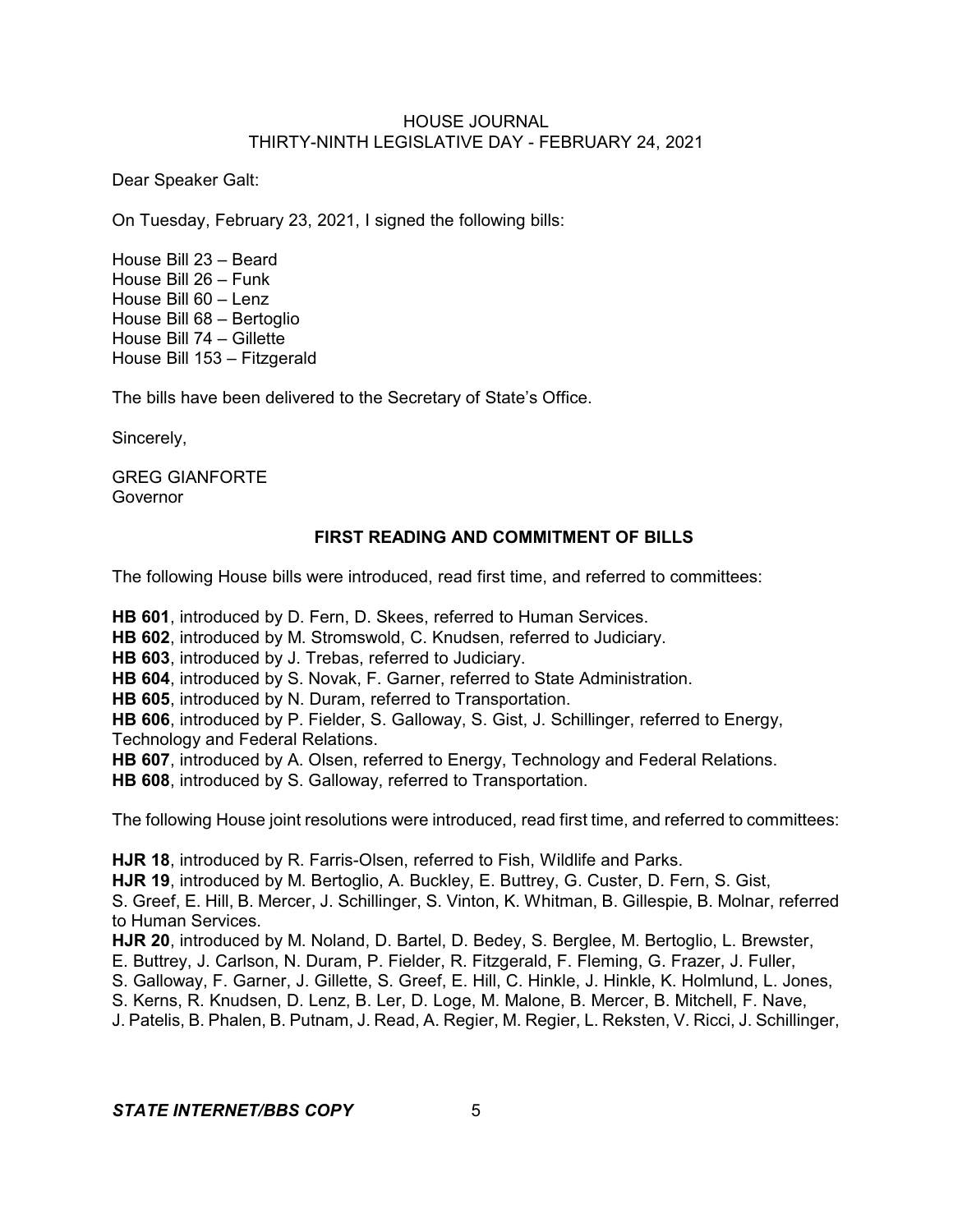Dear Speaker Galt:

On Tuesday, February 23, 2021, I signed the following bills:

House Bill 23 – Beard House Bill 26 – Funk House Bill 60 – Lenz House Bill 68 – Bertoglio House Bill 74 – Gillette House Bill 153 – Fitzgerald

The bills have been delivered to the Secretary of State's Office.

Sincerely,

GREG GIANFORTE Governor

# **FIRST READING AND COMMITMENT OF BILLS**

The following House bills were introduced, read first time, and referred to committees:

**HB 601**, introduced by D. Fern, D. Skees, referred to Human Services.

**HB 602**, introduced by M. Stromswold, C. Knudsen, referred to Judiciary.

**HB 603**, introduced by J. Trebas, referred to Judiciary.

**HB 604**, introduced by S. Novak, F. Garner, referred to State Administration.

**HB 605**, introduced by N. Duram, referred to Transportation.

**HB 606**, introduced by P. Fielder, S. Galloway, S. Gist, J. Schillinger, referred to Energy, Technology and Federal Relations.

**HB 607**, introduced by A. Olsen, referred to Energy, Technology and Federal Relations.

**HB 608**, introduced by S. Galloway, referred to Transportation.

The following House joint resolutions were introduced, read first time, and referred to committees:

**HJR 18**, introduced by R. Farris-Olsen, referred to Fish, Wildlife and Parks.

**HJR 19**, introduced by M. Bertoglio, A. Buckley, E. Buttrey, G. Custer, D. Fern, S. Gist,

S. Greef, E. Hill, B. Mercer, J. Schillinger, S. Vinton, K. Whitman, B. Gillespie, B. Molnar, referred to Human Services.

**HJR 20**, introduced by M. Noland, D. Bartel, D. Bedey, S. Berglee, M. Bertoglio, L. Brewster,

E. Buttrey, J. Carlson, N. Duram, P. Fielder, R. Fitzgerald, F. Fleming, G. Frazer, J. Fuller,

S. Galloway, F. Garner, J. Gillette, S. Greef, E. Hill, C. Hinkle, J. Hinkle, K. Holmlund, L. Jones,

S. Kerns, R. Knudsen, D. Lenz, B. Ler, D. Loge, M. Malone, B. Mercer, B. Mitchell, F. Nave,

J. Patelis, B. Phalen, B. Putnam, J. Read, A. Regier, M. Regier, L. Reksten, V. Ricci, J. Schillinger,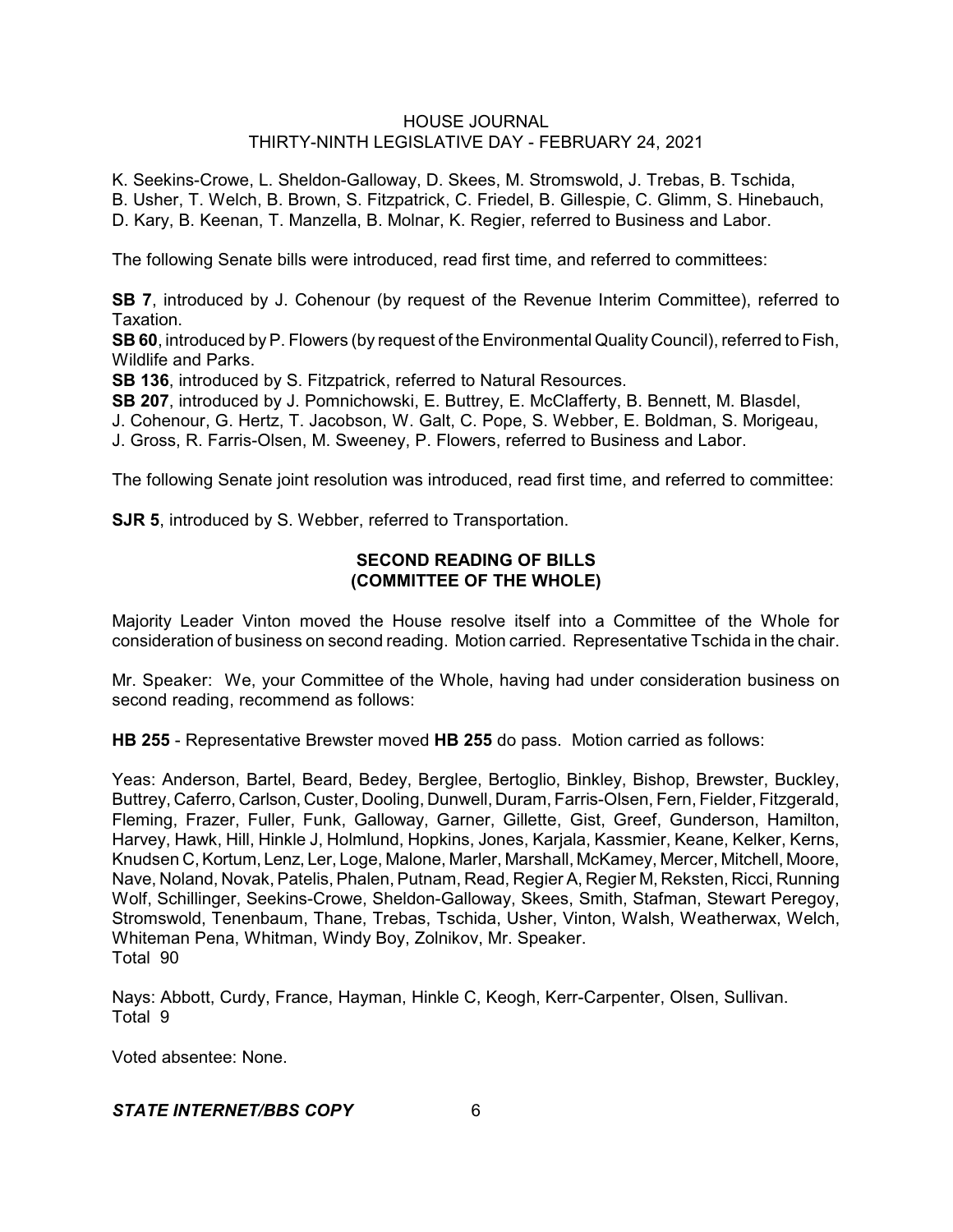K. Seekins-Crowe, L. Sheldon-Galloway, D. Skees, M. Stromswold, J. Trebas, B. Tschida, B. Usher, T. Welch, B. Brown, S. Fitzpatrick, C. Friedel, B. Gillespie, C. Glimm, S. Hinebauch, D. Kary, B. Keenan, T. Manzella, B. Molnar, K. Regier, referred to Business and Labor.

The following Senate bills were introduced, read first time, and referred to committees:

**SB 7**, introduced by J. Cohenour (by request of the Revenue Interim Committee), referred to Taxation.

**SB 60**, introduced byP. Flowers (by request of the Environmental Quality Council), referred to Fish, Wildlife and Parks.

**SB 136**, introduced by S. Fitzpatrick, referred to Natural Resources.

**SB 207**, introduced by J. Pomnichowski, E. Buttrey, E. McClafferty, B. Bennett, M. Blasdel,

J. Cohenour, G. Hertz, T. Jacobson, W. Galt, C. Pope, S. Webber, E. Boldman, S. Morigeau,

J. Gross, R. Farris-Olsen, M. Sweeney, P. Flowers, referred to Business and Labor.

The following Senate joint resolution was introduced, read first time, and referred to committee:

**SJR 5**, introduced by S. Webber, referred to Transportation.

# **SECOND READING OF BILLS (COMMITTEE OF THE WHOLE)**

Majority Leader Vinton moved the House resolve itself into a Committee of the Whole for consideration of business on second reading. Motion carried. Representative Tschida in the chair.

Mr. Speaker: We, your Committee of the Whole, having had under consideration business on second reading, recommend as follows:

**HB 255** - Representative Brewster moved **HB 255** do pass. Motion carried as follows:

Yeas: Anderson, Bartel, Beard, Bedey, Berglee, Bertoglio, Binkley, Bishop, Brewster, Buckley, Buttrey, Caferro, Carlson, Custer, Dooling, Dunwell, Duram, Farris-Olsen, Fern, Fielder, Fitzgerald, Fleming, Frazer, Fuller, Funk, Galloway, Garner, Gillette, Gist, Greef, Gunderson, Hamilton, Harvey, Hawk, Hill, Hinkle J, Holmlund, Hopkins, Jones, Karjala, Kassmier, Keane, Kelker, Kerns, Knudsen C,Kortum, Lenz, Ler, Loge, Malone, Marler, Marshall, McKamey, Mercer, Mitchell, Moore, Nave, Noland, Novak, Patelis, Phalen, Putnam, Read, Regier A, Regier M, Reksten, Ricci, Running Wolf, Schillinger, Seekins-Crowe, Sheldon-Galloway, Skees, Smith, Stafman, Stewart Peregoy, Stromswold, Tenenbaum, Thane, Trebas, Tschida, Usher, Vinton, Walsh, Weatherwax, Welch, Whiteman Pena, Whitman, Windy Boy, Zolnikov, Mr. Speaker. Total 90

Nays: Abbott, Curdy, France, Hayman, Hinkle C, Keogh, Kerr-Carpenter, Olsen, Sullivan. Total 9

Voted absentee: None.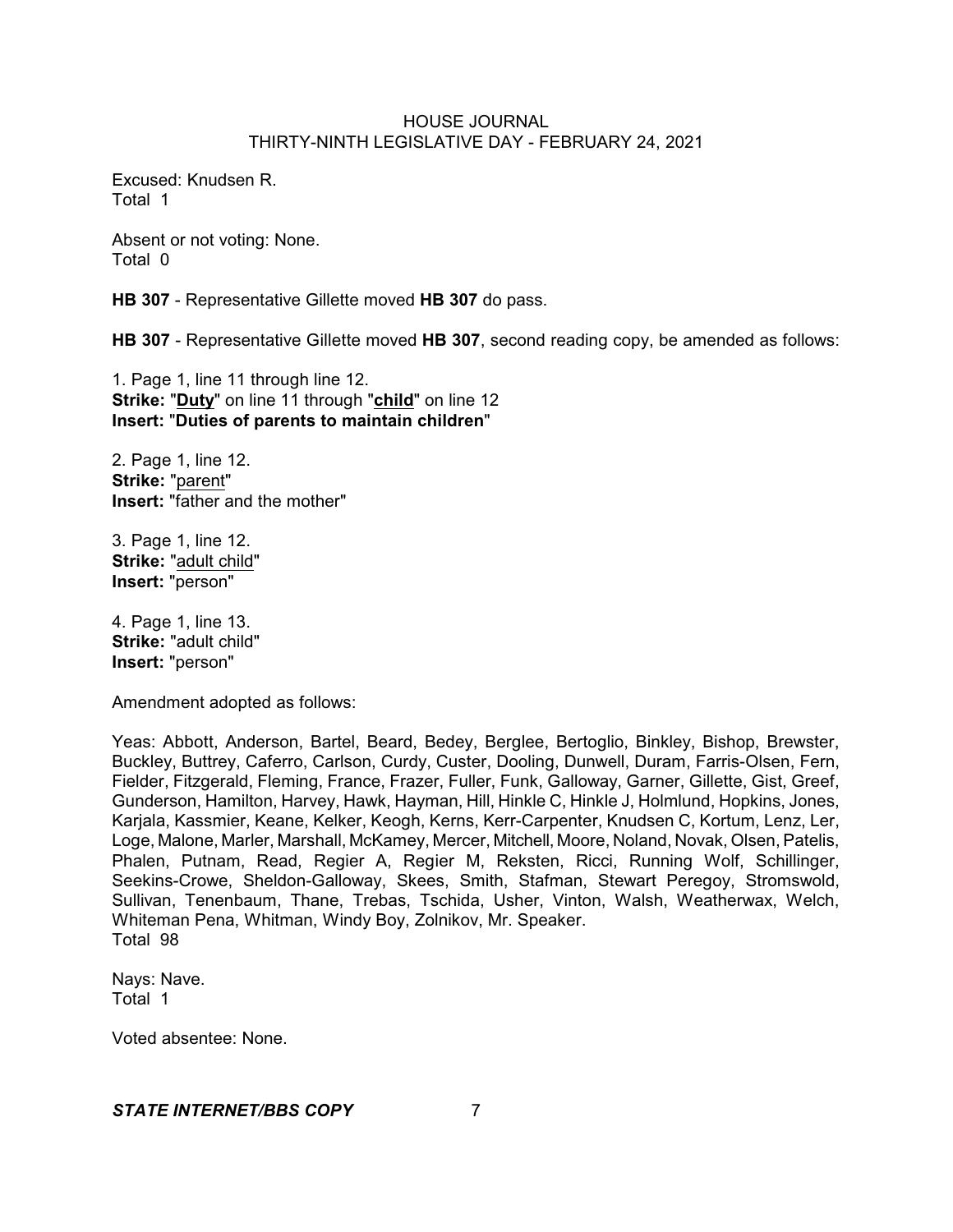Excused: Knudsen R. Total 1

Absent or not voting: None. Total 0

**HB 307** - Representative Gillette moved **HB 307** do pass.

**HB 307** - Representative Gillette moved **HB 307**, second reading copy, be amended as follows:

1. Page 1, line 11 through line 12. **Strike:** "**Duty**" on line 11 through "**child**" on line 12 **Insert:** "**Duties of parents to maintain children**"

2. Page 1, line 12. **Strike:** "parent" **Insert:** "father and the mother"

3. Page 1, line 12. **Strike:** "adult child" **Insert:** "person"

4. Page 1, line 13. **Strike:** "adult child" **Insert:** "person"

Amendment adopted as follows:

Yeas: Abbott, Anderson, Bartel, Beard, Bedey, Berglee, Bertoglio, Binkley, Bishop, Brewster, Buckley, Buttrey, Caferro, Carlson, Curdy, Custer, Dooling, Dunwell, Duram, Farris-Olsen, Fern, Fielder, Fitzgerald, Fleming, France, Frazer, Fuller, Funk, Galloway, Garner, Gillette, Gist, Greef, Gunderson, Hamilton, Harvey, Hawk, Hayman, Hill, Hinkle C, Hinkle J, Holmlund, Hopkins, Jones, Karjala, Kassmier, Keane, Kelker, Keogh, Kerns, Kerr-Carpenter, Knudsen C, Kortum, Lenz, Ler, Loge, Malone, Marler, Marshall, McKamey, Mercer, Mitchell, Moore, Noland, Novak, Olsen, Patelis, Phalen, Putnam, Read, Regier A, Regier M, Reksten, Ricci, Running Wolf, Schillinger, Seekins-Crowe, Sheldon-Galloway, Skees, Smith, Stafman, Stewart Peregoy, Stromswold, Sullivan, Tenenbaum, Thane, Trebas, Tschida, Usher, Vinton, Walsh, Weatherwax, Welch, Whiteman Pena, Whitman, Windy Boy, Zolnikov, Mr. Speaker. Total 98

Nays: Nave. Total 1

Voted absentee: None.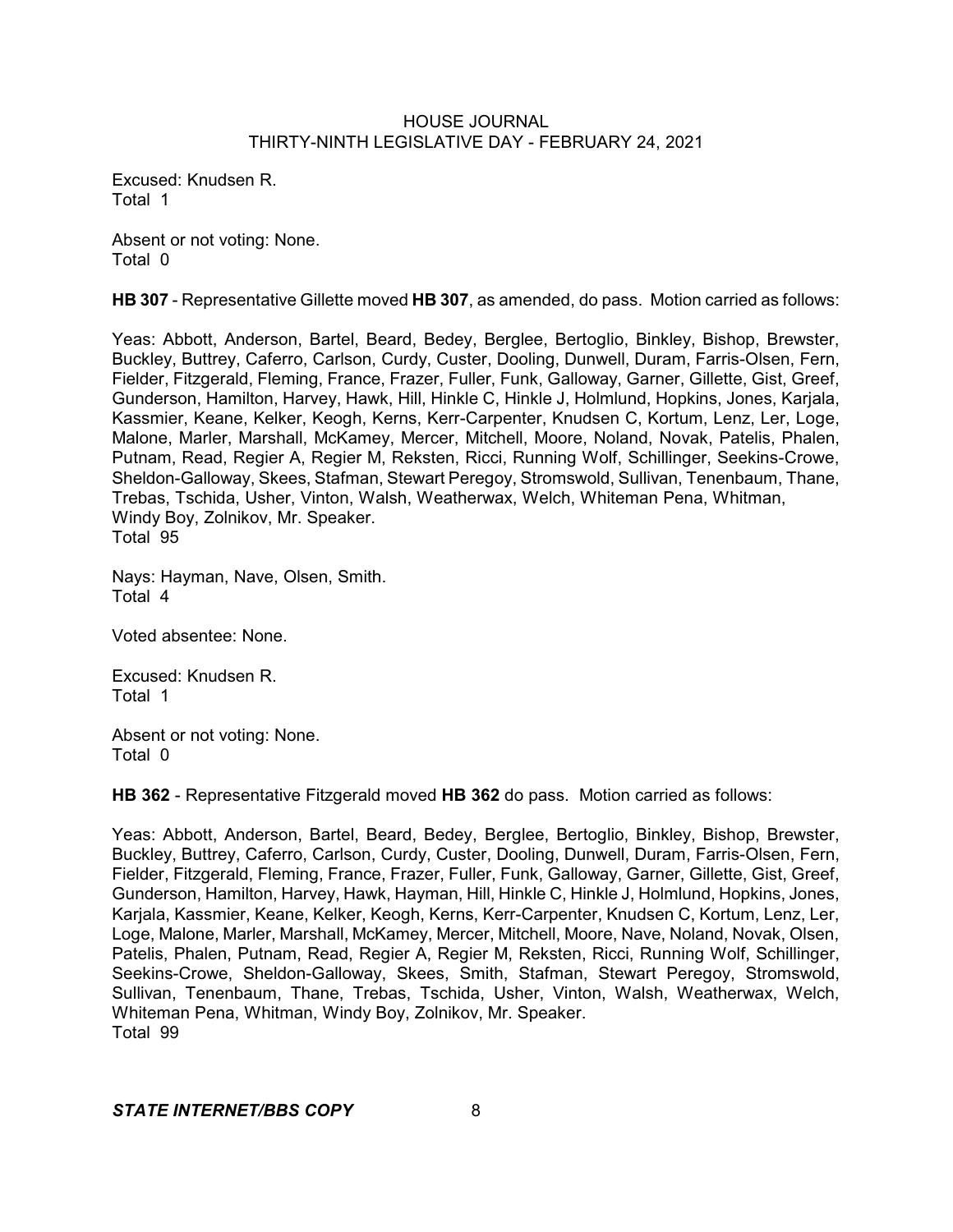Excused: Knudsen R. Total 1

Absent or not voting: None. Total 0

**HB 307** - Representative Gillette moved **HB 307**, as amended, do pass. Motion carried as follows:

Yeas: Abbott, Anderson, Bartel, Beard, Bedey, Berglee, Bertoglio, Binkley, Bishop, Brewster, Buckley, Buttrey, Caferro, Carlson, Curdy, Custer, Dooling, Dunwell, Duram, Farris-Olsen, Fern, Fielder, Fitzgerald, Fleming, France, Frazer, Fuller, Funk, Galloway, Garner, Gillette, Gist, Greef, Gunderson, Hamilton, Harvey, Hawk, Hill, Hinkle C, Hinkle J, Holmlund, Hopkins, Jones, Karjala, Kassmier, Keane, Kelker, Keogh, Kerns, Kerr-Carpenter, Knudsen C, Kortum, Lenz, Ler, Loge, Malone, Marler, Marshall, McKamey, Mercer, Mitchell, Moore, Noland, Novak, Patelis, Phalen, Putnam, Read, Regier A, Regier M, Reksten, Ricci, Running Wolf, Schillinger, Seekins-Crowe, Sheldon-Galloway, Skees, Stafman, Stewart Peregoy, Stromswold, Sullivan, Tenenbaum, Thane, Trebas, Tschida, Usher, Vinton, Walsh, Weatherwax, Welch, Whiteman Pena, Whitman, Windy Boy, Zolnikov, Mr. Speaker. Total 95

Nays: Hayman, Nave, Olsen, Smith. Total 4

Voted absentee: None.

Excused: Knudsen R. Total 1

Absent or not voting: None. Total 0

**HB 362** - Representative Fitzgerald moved **HB 362** do pass. Motion carried as follows:

Yeas: Abbott, Anderson, Bartel, Beard, Bedey, Berglee, Bertoglio, Binkley, Bishop, Brewster, Buckley, Buttrey, Caferro, Carlson, Curdy, Custer, Dooling, Dunwell, Duram, Farris-Olsen, Fern, Fielder, Fitzgerald, Fleming, France, Frazer, Fuller, Funk, Galloway, Garner, Gillette, Gist, Greef, Gunderson, Hamilton, Harvey, Hawk, Hayman, Hill, Hinkle C, Hinkle J, Holmlund, Hopkins, Jones, Karjala, Kassmier, Keane, Kelker, Keogh, Kerns, Kerr-Carpenter, Knudsen C, Kortum, Lenz, Ler, Loge, Malone, Marler, Marshall, McKamey, Mercer, Mitchell, Moore, Nave, Noland, Novak, Olsen, Patelis, Phalen, Putnam, Read, Regier A, Regier M, Reksten, Ricci, Running Wolf, Schillinger, Seekins-Crowe, Sheldon-Galloway, Skees, Smith, Stafman, Stewart Peregoy, Stromswold, Sullivan, Tenenbaum, Thane, Trebas, Tschida, Usher, Vinton, Walsh, Weatherwax, Welch, Whiteman Pena, Whitman, Windy Boy, Zolnikov, Mr. Speaker. Total 99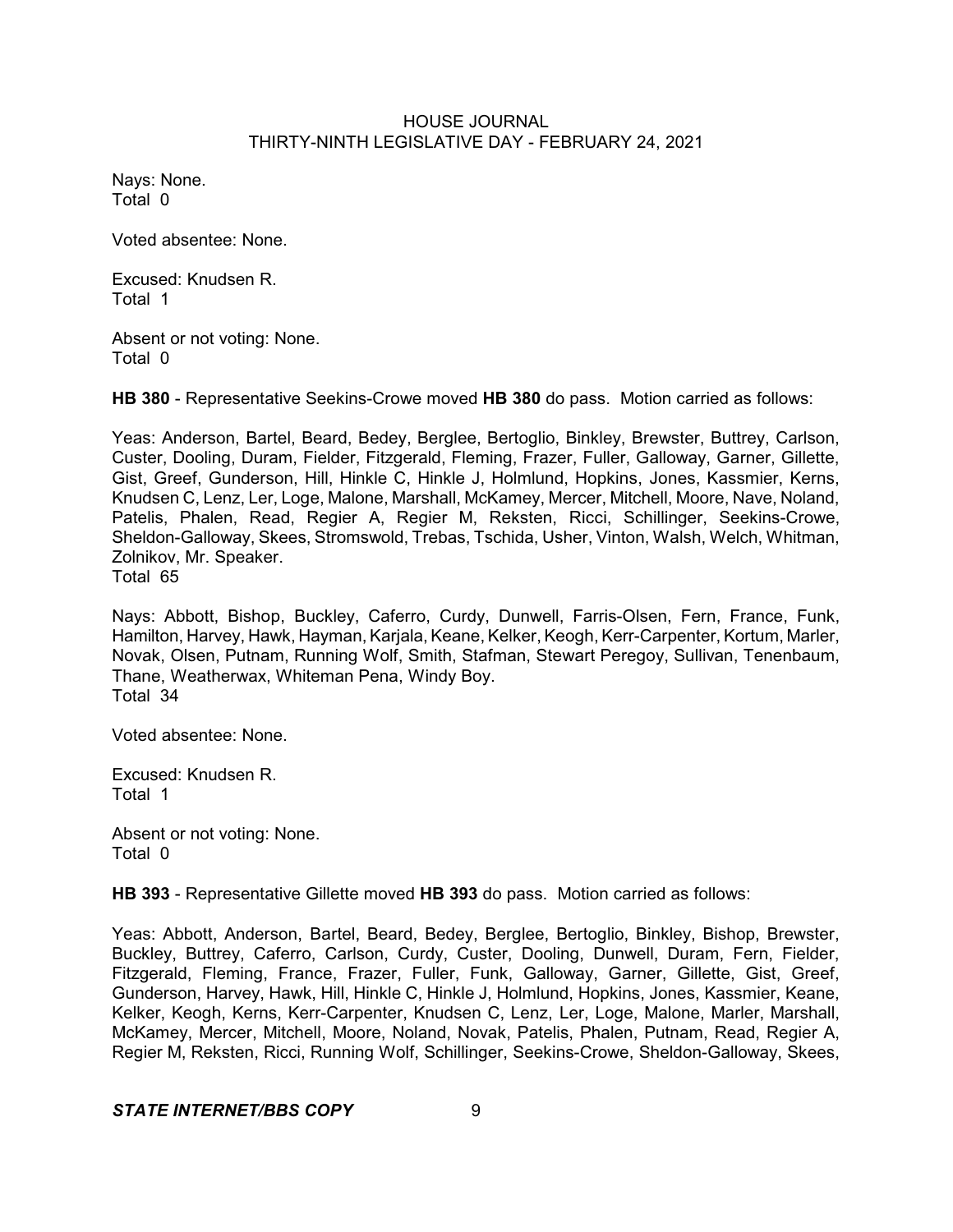Nays: None. Total 0

Voted absentee: None.

Excused: Knudsen R. Total 1

Absent or not voting: None. Total 0

**HB 380** - Representative Seekins-Crowe moved **HB 380** do pass. Motion carried as follows:

Yeas: Anderson, Bartel, Beard, Bedey, Berglee, Bertoglio, Binkley, Brewster, Buttrey, Carlson, Custer, Dooling, Duram, Fielder, Fitzgerald, Fleming, Frazer, Fuller, Galloway, Garner, Gillette, Gist, Greef, Gunderson, Hill, Hinkle C, Hinkle J, Holmlund, Hopkins, Jones, Kassmier, Kerns, Knudsen C, Lenz, Ler, Loge, Malone, Marshall, McKamey, Mercer, Mitchell, Moore, Nave, Noland, Patelis, Phalen, Read, Regier A, Regier M, Reksten, Ricci, Schillinger, Seekins-Crowe, Sheldon-Galloway, Skees, Stromswold, Trebas, Tschida, Usher, Vinton, Walsh, Welch, Whitman, Zolnikov, Mr. Speaker.

Total 65

Nays: Abbott, Bishop, Buckley, Caferro, Curdy, Dunwell, Farris-Olsen, Fern, France, Funk, Hamilton, Harvey, Hawk, Hayman, Karjala, Keane, Kelker, Keogh, Kerr-Carpenter, Kortum, Marler, Novak, Olsen, Putnam, Running Wolf, Smith, Stafman, Stewart Peregoy, Sullivan, Tenenbaum, Thane, Weatherwax, Whiteman Pena, Windy Boy. Total 34

Voted absentee: None.

Excused: Knudsen R. Total 1

Absent or not voting: None. Total 0

**HB 393** - Representative Gillette moved **HB 393** do pass. Motion carried as follows:

Yeas: Abbott, Anderson, Bartel, Beard, Bedey, Berglee, Bertoglio, Binkley, Bishop, Brewster, Buckley, Buttrey, Caferro, Carlson, Curdy, Custer, Dooling, Dunwell, Duram, Fern, Fielder, Fitzgerald, Fleming, France, Frazer, Fuller, Funk, Galloway, Garner, Gillette, Gist, Greef, Gunderson, Harvey, Hawk, Hill, Hinkle C, Hinkle J, Holmlund, Hopkins, Jones, Kassmier, Keane, Kelker, Keogh, Kerns, Kerr-Carpenter, Knudsen C, Lenz, Ler, Loge, Malone, Marler, Marshall, McKamey, Mercer, Mitchell, Moore, Noland, Novak, Patelis, Phalen, Putnam, Read, Regier A, Regier M, Reksten, Ricci, Running Wolf, Schillinger, Seekins-Crowe, Sheldon-Galloway, Skees,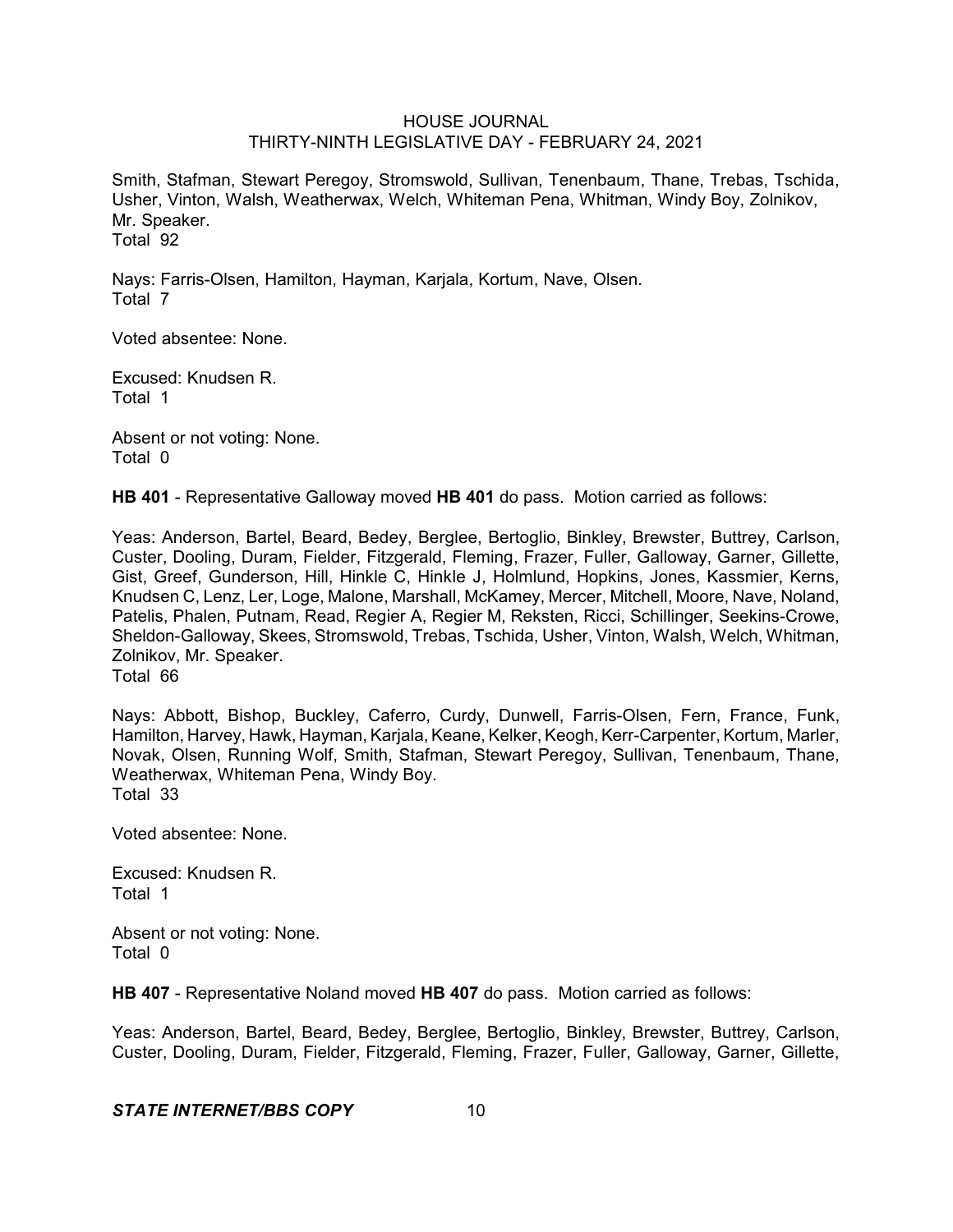Smith, Stafman, Stewart Peregoy, Stromswold, Sullivan, Tenenbaum, Thane, Trebas, Tschida, Usher, Vinton, Walsh, Weatherwax, Welch, Whiteman Pena, Whitman, Windy Boy, Zolnikov, Mr. Speaker. Total 92

Nays: Farris-Olsen, Hamilton, Hayman, Karjala, Kortum, Nave, Olsen. Total 7

Voted absentee: None.

Excused: Knudsen R. Total 1

Absent or not voting: None. Total 0

**HB 401** - Representative Galloway moved **HB 401** do pass. Motion carried as follows:

Yeas: Anderson, Bartel, Beard, Bedey, Berglee, Bertoglio, Binkley, Brewster, Buttrey, Carlson, Custer, Dooling, Duram, Fielder, Fitzgerald, Fleming, Frazer, Fuller, Galloway, Garner, Gillette, Gist, Greef, Gunderson, Hill, Hinkle C, Hinkle J, Holmlund, Hopkins, Jones, Kassmier, Kerns, Knudsen C, Lenz, Ler, Loge, Malone, Marshall, McKamey, Mercer, Mitchell, Moore, Nave, Noland, Patelis, Phalen, Putnam, Read, Regier A, Regier M, Reksten, Ricci, Schillinger, Seekins-Crowe, Sheldon-Galloway, Skees, Stromswold, Trebas, Tschida, Usher, Vinton, Walsh, Welch, Whitman, Zolnikov, Mr. Speaker.

Total 66

Nays: Abbott, Bishop, Buckley, Caferro, Curdy, Dunwell, Farris-Olsen, Fern, France, Funk, Hamilton, Harvey, Hawk, Hayman, Karjala, Keane, Kelker, Keogh,Kerr-Carpenter, Kortum, Marler, Novak, Olsen, Running Wolf, Smith, Stafman, Stewart Peregoy, Sullivan, Tenenbaum, Thane, Weatherwax, Whiteman Pena, Windy Boy. Total 33

Voted absentee: None.

Excused: Knudsen R. Total 1

Absent or not voting: None. Total 0

**HB 407** - Representative Noland moved **HB 407** do pass. Motion carried as follows:

Yeas: Anderson, Bartel, Beard, Bedey, Berglee, Bertoglio, Binkley, Brewster, Buttrey, Carlson, Custer, Dooling, Duram, Fielder, Fitzgerald, Fleming, Frazer, Fuller, Galloway, Garner, Gillette,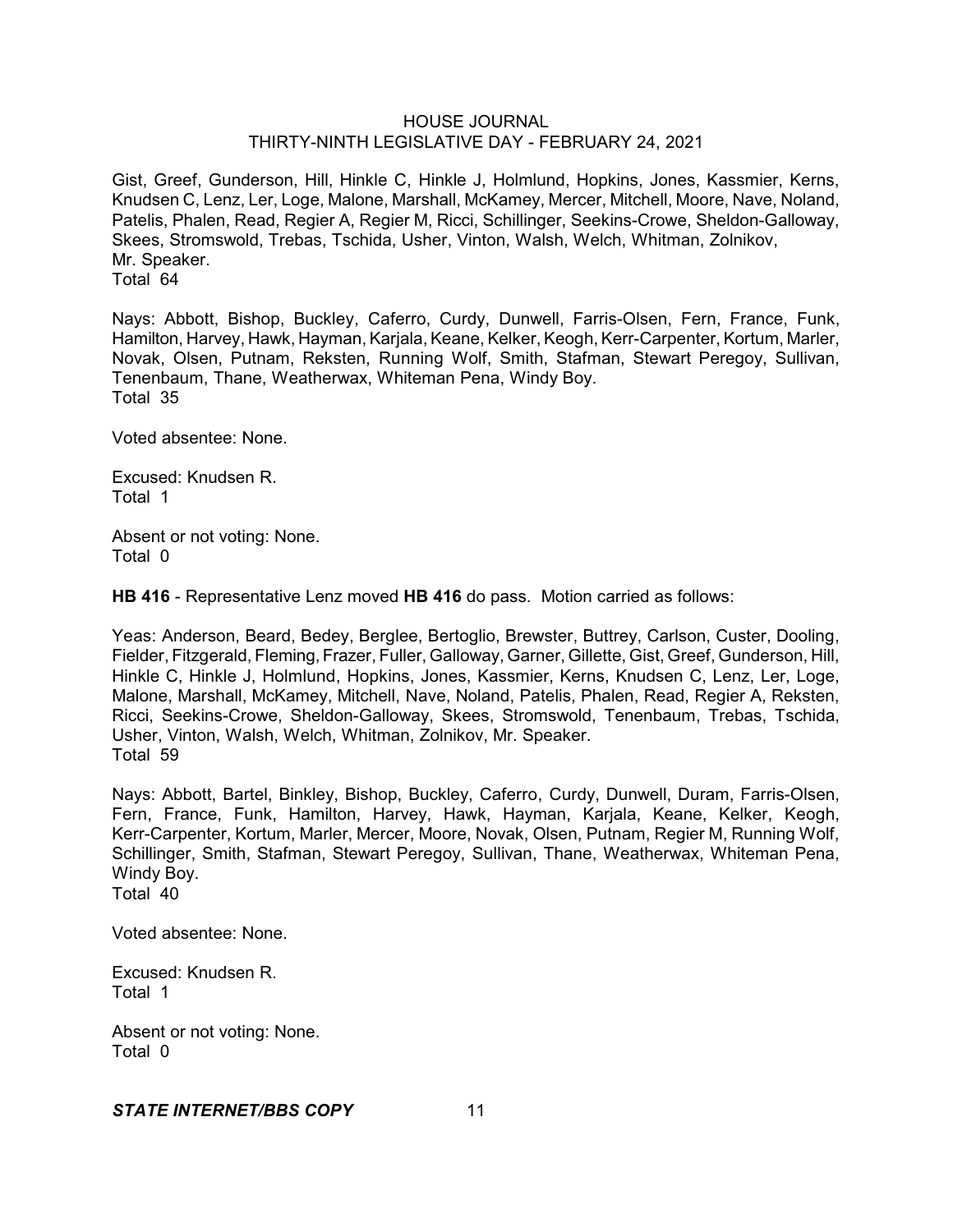Gist, Greef, Gunderson, Hill, Hinkle C, Hinkle J, Holmlund, Hopkins, Jones, Kassmier, Kerns, Knudsen C, Lenz, Ler, Loge, Malone, Marshall, McKamey, Mercer, Mitchell, Moore, Nave, Noland, Patelis, Phalen, Read, Regier A, Regier M, Ricci, Schillinger, Seekins-Crowe, Sheldon-Galloway, Skees, Stromswold, Trebas, Tschida, Usher, Vinton, Walsh, Welch, Whitman, Zolnikov, Mr. Speaker. Total 64

Nays: Abbott, Bishop, Buckley, Caferro, Curdy, Dunwell, Farris-Olsen, Fern, France, Funk, Hamilton, Harvey, Hawk, Hayman, Karjala, Keane, Kelker, Keogh, Kerr-Carpenter, Kortum, Marler, Novak, Olsen, Putnam, Reksten, Running Wolf, Smith, Stafman, Stewart Peregoy, Sullivan, Tenenbaum, Thane, Weatherwax, Whiteman Pena, Windy Boy. Total 35

Voted absentee: None.

Excused: Knudsen R. Total 1

Absent or not voting: None. Total 0

**HB 416** - Representative Lenz moved **HB 416** do pass. Motion carried as follows:

Yeas: Anderson, Beard, Bedey, Berglee, Bertoglio, Brewster, Buttrey, Carlson, Custer, Dooling, Fielder, Fitzgerald, Fleming, Frazer, Fuller, Galloway, Garner, Gillette, Gist, Greef, Gunderson, Hill, Hinkle C, Hinkle J, Holmlund, Hopkins, Jones, Kassmier, Kerns, Knudsen C, Lenz, Ler, Loge, Malone, Marshall, McKamey, Mitchell, Nave, Noland, Patelis, Phalen, Read, Regier A, Reksten, Ricci, Seekins-Crowe, Sheldon-Galloway, Skees, Stromswold, Tenenbaum, Trebas, Tschida, Usher, Vinton, Walsh, Welch, Whitman, Zolnikov, Mr. Speaker. Total 59

Nays: Abbott, Bartel, Binkley, Bishop, Buckley, Caferro, Curdy, Dunwell, Duram, Farris-Olsen, Fern, France, Funk, Hamilton, Harvey, Hawk, Hayman, Karjala, Keane, Kelker, Keogh, Kerr-Carpenter, Kortum, Marler, Mercer, Moore, Novak, Olsen, Putnam, Regier M, Running Wolf, Schillinger, Smith, Stafman, Stewart Peregoy, Sullivan, Thane, Weatherwax, Whiteman Pena, Windy Boy. Total 40

Voted absentee: None.

Excused: Knudsen R. Total 1

Absent or not voting: None. Total 0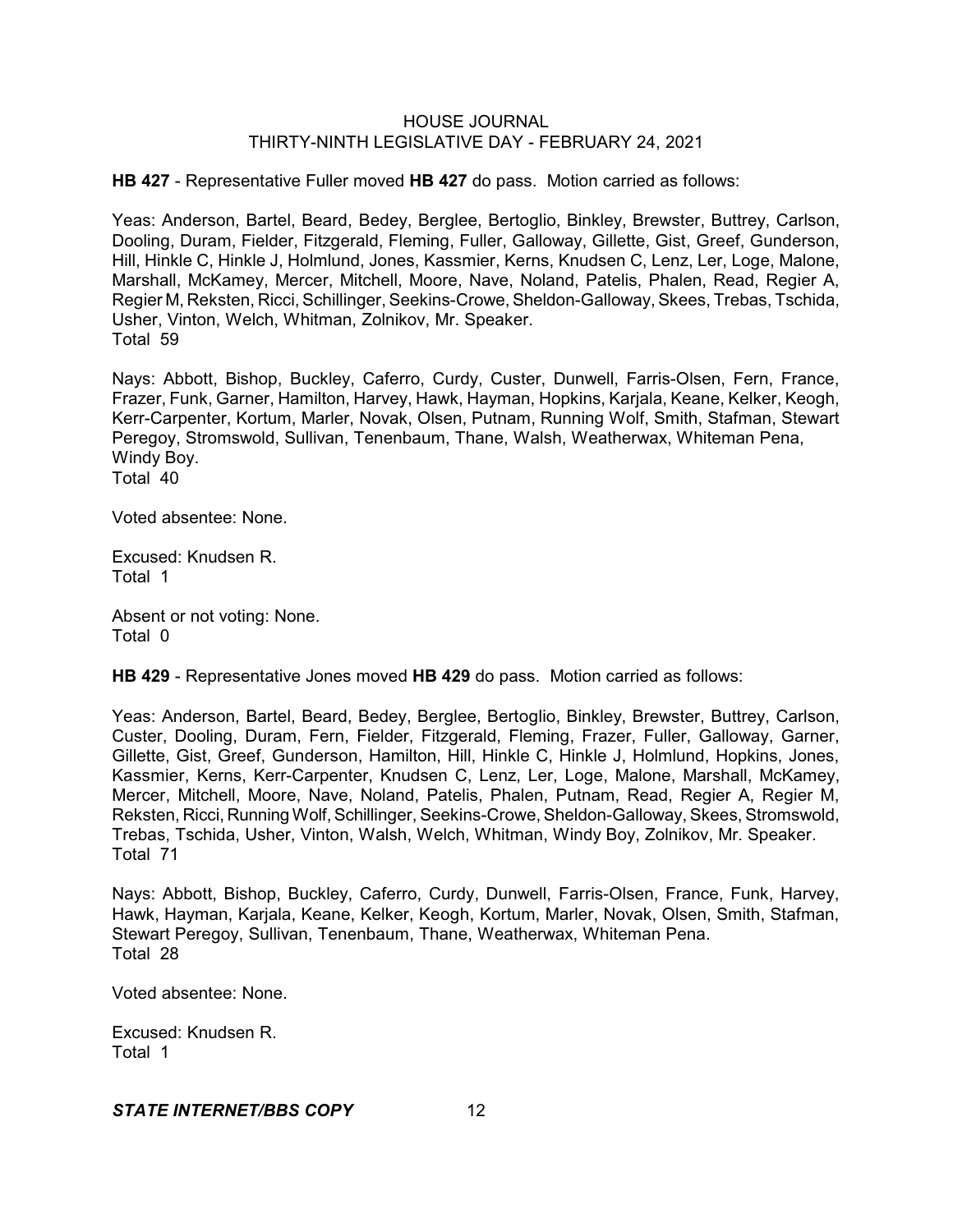**HB 427** - Representative Fuller moved **HB 427** do pass. Motion carried as follows:

Yeas: Anderson, Bartel, Beard, Bedey, Berglee, Bertoglio, Binkley, Brewster, Buttrey, Carlson, Dooling, Duram, Fielder, Fitzgerald, Fleming, Fuller, Galloway, Gillette, Gist, Greef, Gunderson, Hill, Hinkle C, Hinkle J, Holmlund, Jones, Kassmier, Kerns, Knudsen C, Lenz, Ler, Loge, Malone, Marshall, McKamey, Mercer, Mitchell, Moore, Nave, Noland, Patelis, Phalen, Read, Regier A, Regier M, Reksten, Ricci, Schillinger, Seekins-Crowe, Sheldon-Galloway, Skees, Trebas, Tschida, Usher, Vinton, Welch, Whitman, Zolnikov, Mr. Speaker. Total 59

Nays: Abbott, Bishop, Buckley, Caferro, Curdy, Custer, Dunwell, Farris-Olsen, Fern, France, Frazer, Funk, Garner, Hamilton, Harvey, Hawk, Hayman, Hopkins, Karjala, Keane, Kelker, Keogh, Kerr-Carpenter, Kortum, Marler, Novak, Olsen, Putnam, Running Wolf, Smith, Stafman, Stewart Peregoy, Stromswold, Sullivan, Tenenbaum, Thane, Walsh, Weatherwax, Whiteman Pena, Windy Boy. Total 40

Voted absentee: None.

Excused: Knudsen R. Total 1

Absent or not voting: None. Total 0

**HB 429** - Representative Jones moved **HB 429** do pass. Motion carried as follows:

Yeas: Anderson, Bartel, Beard, Bedey, Berglee, Bertoglio, Binkley, Brewster, Buttrey, Carlson, Custer, Dooling, Duram, Fern, Fielder, Fitzgerald, Fleming, Frazer, Fuller, Galloway, Garner, Gillette, Gist, Greef, Gunderson, Hamilton, Hill, Hinkle C, Hinkle J, Holmlund, Hopkins, Jones, Kassmier, Kerns, Kerr-Carpenter, Knudsen C, Lenz, Ler, Loge, Malone, Marshall, McKamey, Mercer, Mitchell, Moore, Nave, Noland, Patelis, Phalen, Putnam, Read, Regier A, Regier M, Reksten, Ricci, Running Wolf, Schillinger, Seekins-Crowe, Sheldon-Galloway, Skees, Stromswold, Trebas, Tschida, Usher, Vinton, Walsh, Welch, Whitman, Windy Boy, Zolnikov, Mr. Speaker. Total 71

Nays: Abbott, Bishop, Buckley, Caferro, Curdy, Dunwell, Farris-Olsen, France, Funk, Harvey, Hawk, Hayman, Karjala, Keane, Kelker, Keogh, Kortum, Marler, Novak, Olsen, Smith, Stafman, Stewart Peregoy, Sullivan, Tenenbaum, Thane, Weatherwax, Whiteman Pena. Total 28

Voted absentee: None.

Excused: Knudsen R. Total 1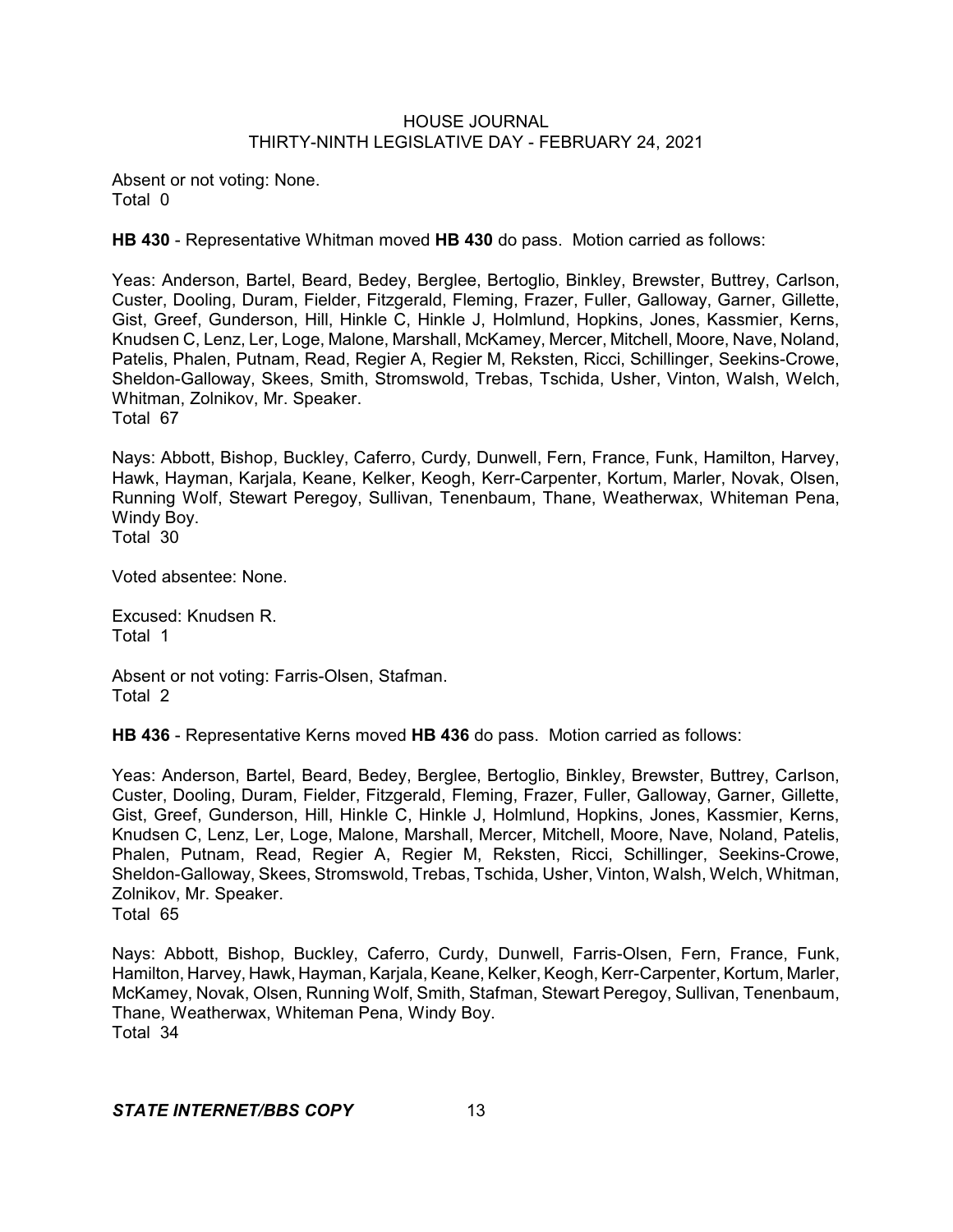Absent or not voting: None. Total 0

**HB 430** - Representative Whitman moved **HB 430** do pass. Motion carried as follows:

Yeas: Anderson, Bartel, Beard, Bedey, Berglee, Bertoglio, Binkley, Brewster, Buttrey, Carlson, Custer, Dooling, Duram, Fielder, Fitzgerald, Fleming, Frazer, Fuller, Galloway, Garner, Gillette, Gist, Greef, Gunderson, Hill, Hinkle C, Hinkle J, Holmlund, Hopkins, Jones, Kassmier, Kerns, Knudsen C, Lenz, Ler, Loge, Malone, Marshall, McKamey, Mercer, Mitchell, Moore, Nave, Noland, Patelis, Phalen, Putnam, Read, Regier A, Regier M, Reksten, Ricci, Schillinger, Seekins-Crowe, Sheldon-Galloway, Skees, Smith, Stromswold, Trebas, Tschida, Usher, Vinton, Walsh, Welch, Whitman, Zolnikov, Mr. Speaker.

Total 67

Nays: Abbott, Bishop, Buckley, Caferro, Curdy, Dunwell, Fern, France, Funk, Hamilton, Harvey, Hawk, Hayman, Karjala, Keane, Kelker, Keogh, Kerr-Carpenter, Kortum, Marler, Novak, Olsen, Running Wolf, Stewart Peregoy, Sullivan, Tenenbaum, Thane, Weatherwax, Whiteman Pena, Windy Boy. Total 30

Voted absentee: None.

Excused: Knudsen R. Total 1

Absent or not voting: Farris-Olsen, Stafman. Total 2

**HB 436** - Representative Kerns moved **HB 436** do pass. Motion carried as follows:

Yeas: Anderson, Bartel, Beard, Bedey, Berglee, Bertoglio, Binkley, Brewster, Buttrey, Carlson, Custer, Dooling, Duram, Fielder, Fitzgerald, Fleming, Frazer, Fuller, Galloway, Garner, Gillette, Gist, Greef, Gunderson, Hill, Hinkle C, Hinkle J, Holmlund, Hopkins, Jones, Kassmier, Kerns, Knudsen C, Lenz, Ler, Loge, Malone, Marshall, Mercer, Mitchell, Moore, Nave, Noland, Patelis, Phalen, Putnam, Read, Regier A, Regier M, Reksten, Ricci, Schillinger, Seekins-Crowe, Sheldon-Galloway, Skees, Stromswold, Trebas, Tschida, Usher, Vinton, Walsh, Welch, Whitman, Zolnikov, Mr. Speaker. Total 65

Nays: Abbott, Bishop, Buckley, Caferro, Curdy, Dunwell, Farris-Olsen, Fern, France, Funk, Hamilton, Harvey, Hawk, Hayman, Karjala, Keane, Kelker, Keogh, Kerr-Carpenter, Kortum, Marler, McKamey, Novak, Olsen, Running Wolf, Smith, Stafman, Stewart Peregoy, Sullivan, Tenenbaum, Thane, Weatherwax, Whiteman Pena, Windy Boy. Total 34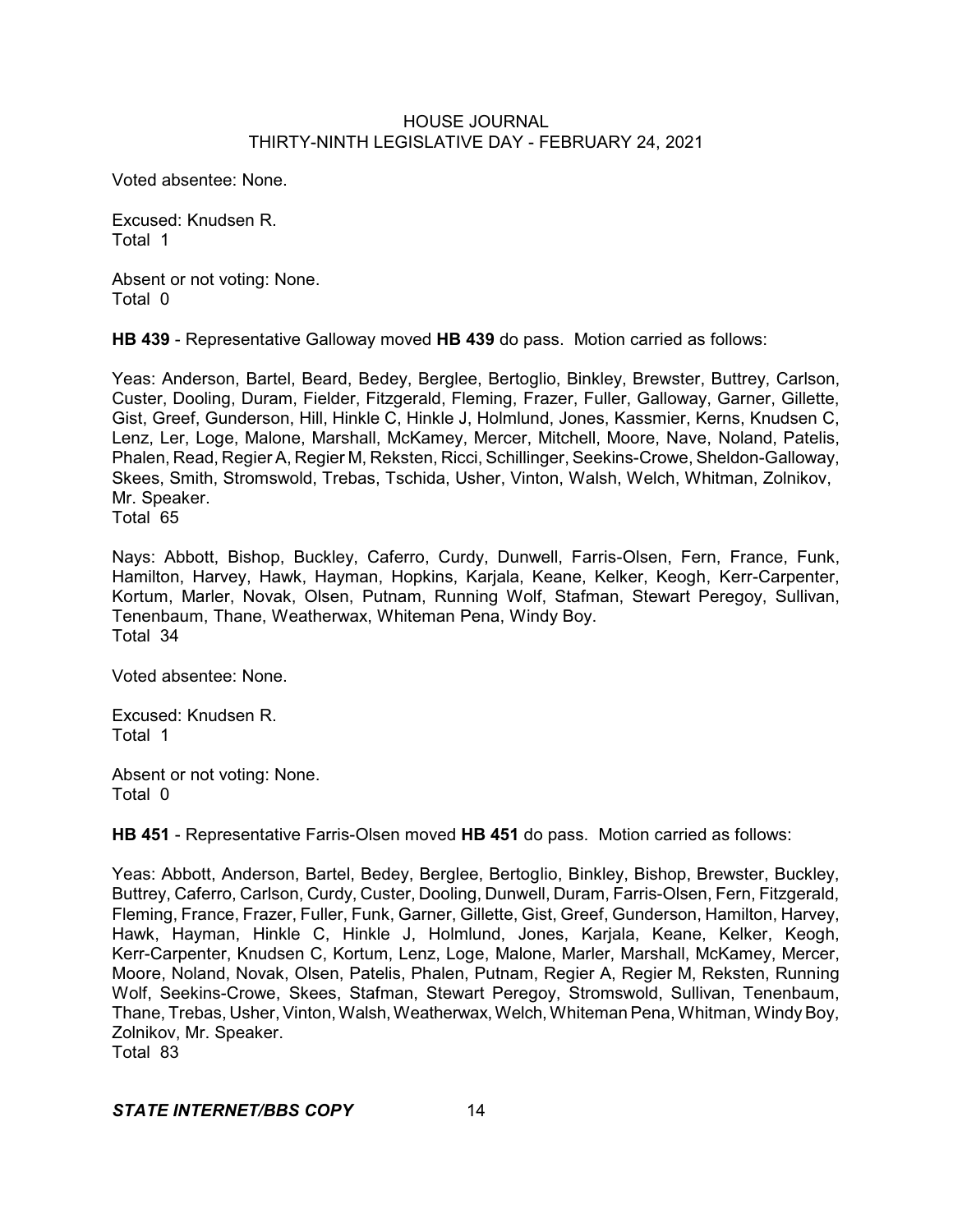Voted absentee: None.

Excused: Knudsen R. Total 1

Absent or not voting: None. Total 0

**HB 439** - Representative Galloway moved **HB 439** do pass. Motion carried as follows:

Yeas: Anderson, Bartel, Beard, Bedey, Berglee, Bertoglio, Binkley, Brewster, Buttrey, Carlson, Custer, Dooling, Duram, Fielder, Fitzgerald, Fleming, Frazer, Fuller, Galloway, Garner, Gillette, Gist, Greef, Gunderson, Hill, Hinkle C, Hinkle J, Holmlund, Jones, Kassmier, Kerns, Knudsen C, Lenz, Ler, Loge, Malone, Marshall, McKamey, Mercer, Mitchell, Moore, Nave, Noland, Patelis, Phalen, Read, Regier A, Regier M, Reksten, Ricci, Schillinger, Seekins-Crowe, Sheldon-Galloway, Skees, Smith, Stromswold, Trebas, Tschida, Usher, Vinton, Walsh, Welch, Whitman, Zolnikov, Mr. Speaker.

Total 65

Nays: Abbott, Bishop, Buckley, Caferro, Curdy, Dunwell, Farris-Olsen, Fern, France, Funk, Hamilton, Harvey, Hawk, Hayman, Hopkins, Karjala, Keane, Kelker, Keogh, Kerr-Carpenter, Kortum, Marler, Novak, Olsen, Putnam, Running Wolf, Stafman, Stewart Peregoy, Sullivan, Tenenbaum, Thane, Weatherwax, Whiteman Pena, Windy Boy. Total 34

Voted absentee: None.

Excused: Knudsen R. Total 1

Absent or not voting: None. Total 0

**HB 451** - Representative Farris-Olsen moved **HB 451** do pass. Motion carried as follows:

Yeas: Abbott, Anderson, Bartel, Bedey, Berglee, Bertoglio, Binkley, Bishop, Brewster, Buckley, Buttrey, Caferro, Carlson, Curdy, Custer, Dooling, Dunwell, Duram, Farris-Olsen, Fern, Fitzgerald, Fleming, France, Frazer, Fuller, Funk, Garner, Gillette, Gist, Greef, Gunderson, Hamilton, Harvey, Hawk, Hayman, Hinkle C, Hinkle J, Holmlund, Jones, Karjala, Keane, Kelker, Keogh, Kerr-Carpenter, Knudsen C, Kortum, Lenz, Loge, Malone, Marler, Marshall, McKamey, Mercer, Moore, Noland, Novak, Olsen, Patelis, Phalen, Putnam, Regier A, Regier M, Reksten, Running Wolf, Seekins-Crowe, Skees, Stafman, Stewart Peregoy, Stromswold, Sullivan, Tenenbaum, Thane, Trebas, Usher, Vinton, Walsh, Weatherwax, Welch, Whiteman Pena, Whitman, Windy Boy, Zolnikov, Mr. Speaker. Total 83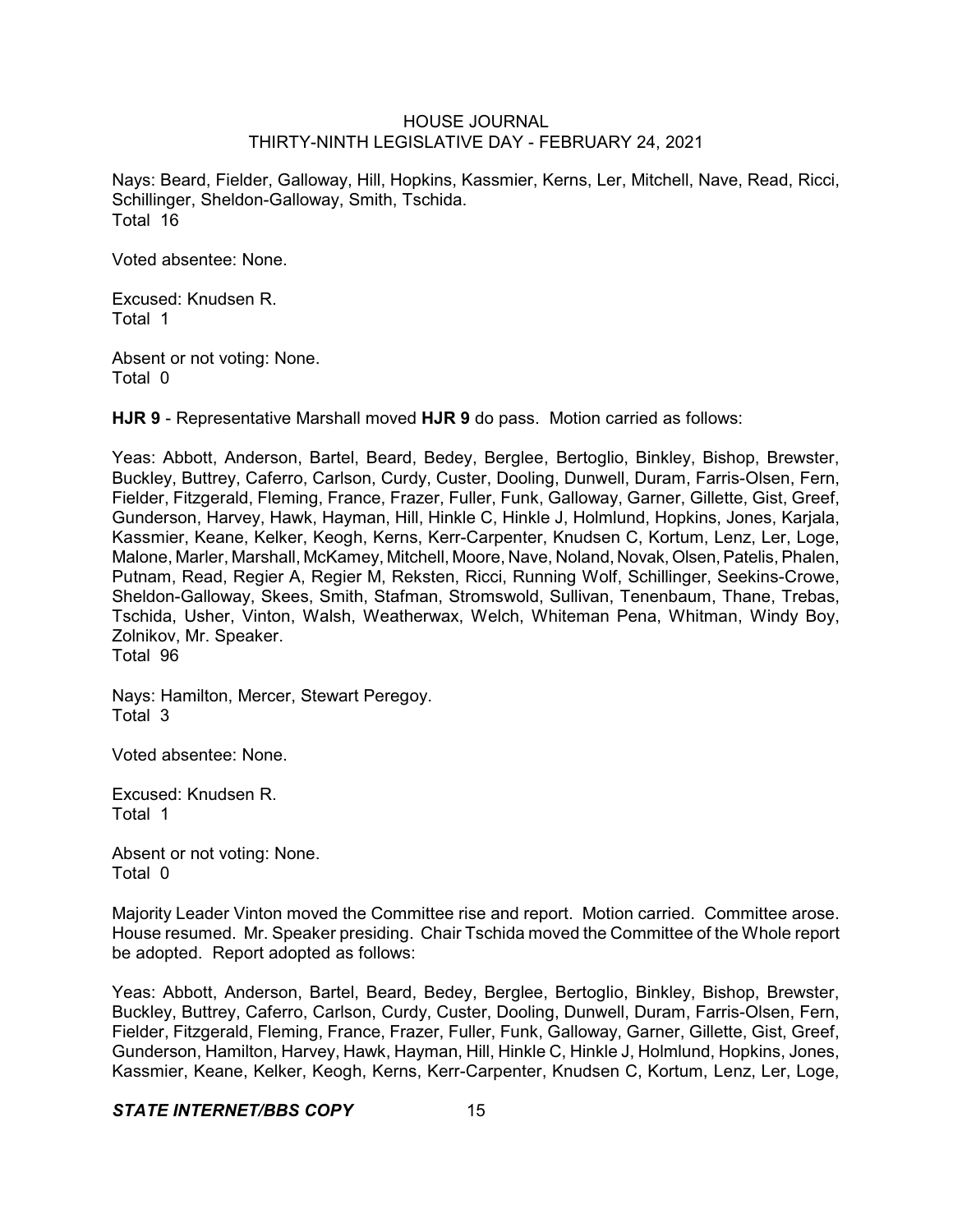Nays: Beard, Fielder, Galloway, Hill, Hopkins, Kassmier, Kerns, Ler, Mitchell, Nave, Read, Ricci, Schillinger, Sheldon-Galloway, Smith, Tschida. Total 16

Voted absentee: None.

Excused: Knudsen R. Total 1

Absent or not voting: None. Total 0

**HJR 9** - Representative Marshall moved **HJR 9** do pass. Motion carried as follows:

Yeas: Abbott, Anderson, Bartel, Beard, Bedey, Berglee, Bertoglio, Binkley, Bishop, Brewster, Buckley, Buttrey, Caferro, Carlson, Curdy, Custer, Dooling, Dunwell, Duram, Farris-Olsen, Fern, Fielder, Fitzgerald, Fleming, France, Frazer, Fuller, Funk, Galloway, Garner, Gillette, Gist, Greef, Gunderson, Harvey, Hawk, Hayman, Hill, Hinkle C, Hinkle J, Holmlund, Hopkins, Jones, Karjala, Kassmier, Keane, Kelker, Keogh, Kerns, Kerr-Carpenter, Knudsen C, Kortum, Lenz, Ler, Loge, Malone, Marler, Marshall, McKamey, Mitchell, Moore, Nave, Noland, Novak, Olsen, Patelis, Phalen, Putnam, Read, Regier A, Regier M, Reksten, Ricci, Running Wolf, Schillinger, Seekins-Crowe, Sheldon-Galloway, Skees, Smith, Stafman, Stromswold, Sullivan, Tenenbaum, Thane, Trebas, Tschida, Usher, Vinton, Walsh, Weatherwax, Welch, Whiteman Pena, Whitman, Windy Boy, Zolnikov, Mr. Speaker. Total 96

Nays: Hamilton, Mercer, Stewart Peregoy. Total 3

Voted absentee: None.

Excused: Knudsen R. Total 1

Absent or not voting: None. Total 0

Majority Leader Vinton moved the Committee rise and report. Motion carried. Committee arose. House resumed. Mr. Speaker presiding. Chair Tschida moved the Committee of the Whole report be adopted. Report adopted as follows:

Yeas: Abbott, Anderson, Bartel, Beard, Bedey, Berglee, Bertoglio, Binkley, Bishop, Brewster, Buckley, Buttrey, Caferro, Carlson, Curdy, Custer, Dooling, Dunwell, Duram, Farris-Olsen, Fern, Fielder, Fitzgerald, Fleming, France, Frazer, Fuller, Funk, Galloway, Garner, Gillette, Gist, Greef, Gunderson, Hamilton, Harvey, Hawk, Hayman, Hill, Hinkle C, Hinkle J, Holmlund, Hopkins, Jones, Kassmier, Keane, Kelker, Keogh, Kerns, Kerr-Carpenter, Knudsen C, Kortum, Lenz, Ler, Loge,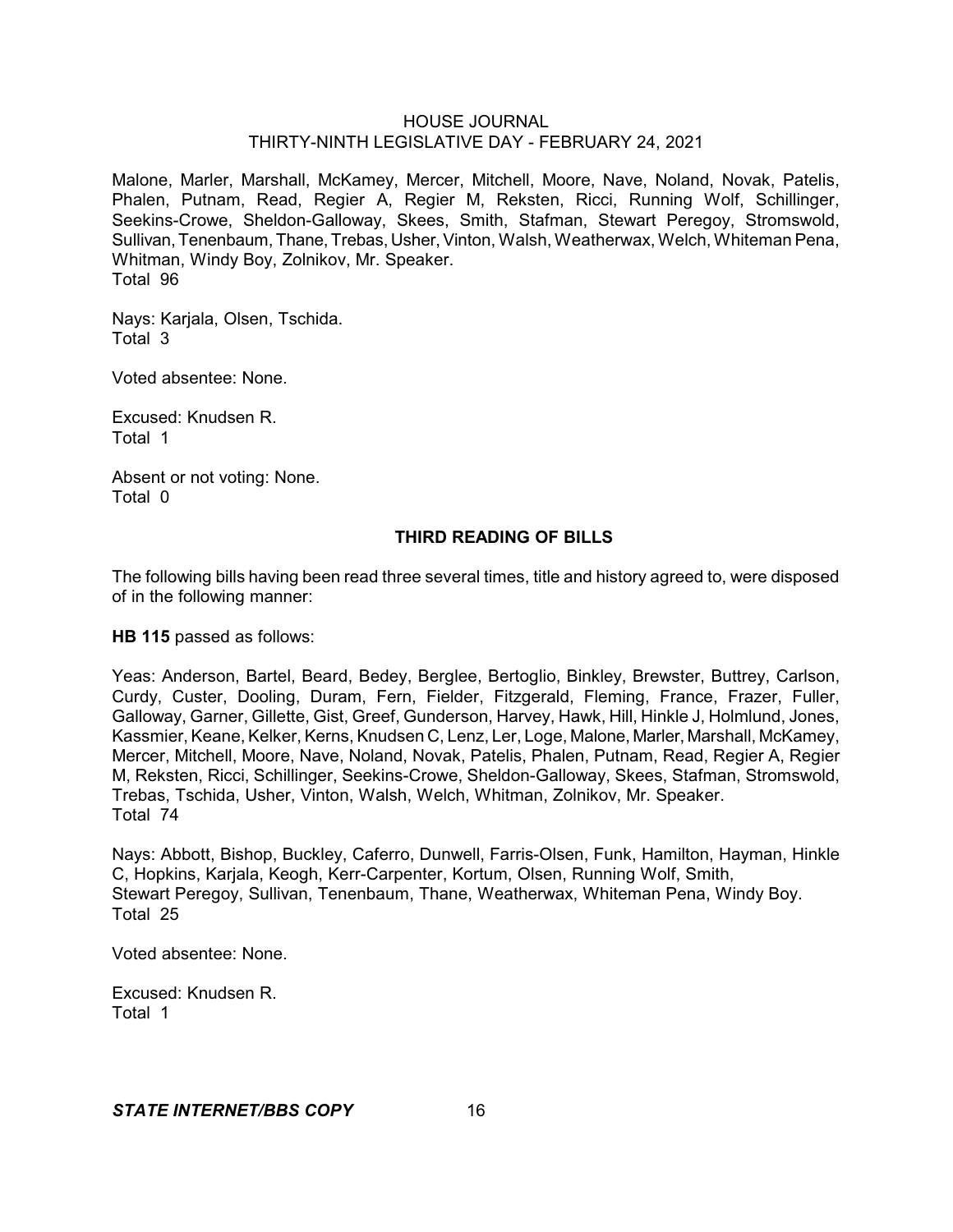Malone, Marler, Marshall, McKamey, Mercer, Mitchell, Moore, Nave, Noland, Novak, Patelis, Phalen, Putnam, Read, Regier A, Regier M, Reksten, Ricci, Running Wolf, Schillinger, Seekins-Crowe, Sheldon-Galloway, Skees, Smith, Stafman, Stewart Peregoy, Stromswold, Sullivan, Tenenbaum, Thane, Trebas, Usher, Vinton, Walsh, Weatherwax, Welch, Whiteman Pena, Whitman, Windy Boy, Zolnikov, Mr. Speaker. Total 96

Nays: Karjala, Olsen, Tschida. Total 3

Voted absentee: None.

Excused: Knudsen R. Total 1

Absent or not voting: None. Total 0

# **THIRD READING OF BILLS**

The following bills having been read three several times, title and history agreed to, were disposed of in the following manner:

**HB 115** passed as follows:

Yeas: Anderson, Bartel, Beard, Bedey, Berglee, Bertoglio, Binkley, Brewster, Buttrey, Carlson, Curdy, Custer, Dooling, Duram, Fern, Fielder, Fitzgerald, Fleming, France, Frazer, Fuller, Galloway, Garner, Gillette, Gist, Greef, Gunderson, Harvey, Hawk, Hill, Hinkle J, Holmlund, Jones, Kassmier, Keane, Kelker, Kerns, Knudsen C, Lenz, Ler, Loge, Malone, Marler, Marshall, McKamey, Mercer, Mitchell, Moore, Nave, Noland, Novak, Patelis, Phalen, Putnam, Read, Regier A, Regier M, Reksten, Ricci, Schillinger, Seekins-Crowe, Sheldon-Galloway, Skees, Stafman, Stromswold, Trebas, Tschida, Usher, Vinton, Walsh, Welch, Whitman, Zolnikov, Mr. Speaker. Total 74

Nays: Abbott, Bishop, Buckley, Caferro, Dunwell, Farris-Olsen, Funk, Hamilton, Hayman, Hinkle C, Hopkins, Karjala, Keogh, Kerr-Carpenter, Kortum, Olsen, Running Wolf, Smith, Stewart Peregoy, Sullivan, Tenenbaum, Thane, Weatherwax, Whiteman Pena, Windy Boy. Total 25

Voted absentee: None.

Excused: Knudsen R. Total 1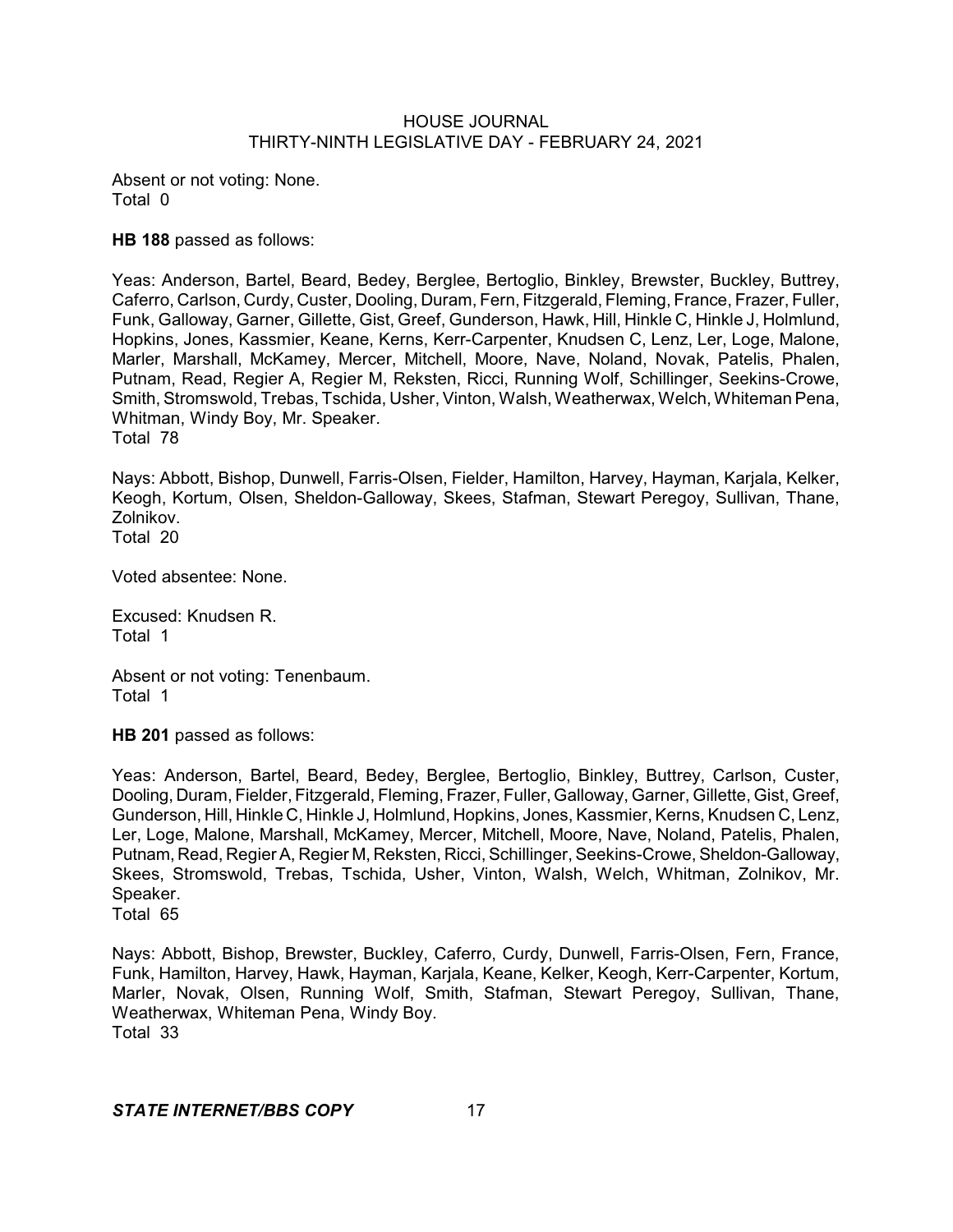Absent or not voting: None. Total 0

**HB 188** passed as follows:

Yeas: Anderson, Bartel, Beard, Bedey, Berglee, Bertoglio, Binkley, Brewster, Buckley, Buttrey, Caferro, Carlson, Curdy, Custer, Dooling, Duram, Fern, Fitzgerald, Fleming, France, Frazer, Fuller, Funk, Galloway, Garner, Gillette, Gist, Greef, Gunderson, Hawk, Hill, Hinkle C, Hinkle J, Holmlund, Hopkins, Jones, Kassmier, Keane, Kerns, Kerr-Carpenter, Knudsen C, Lenz, Ler, Loge, Malone, Marler, Marshall, McKamey, Mercer, Mitchell, Moore, Nave, Noland, Novak, Patelis, Phalen, Putnam, Read, Regier A, Regier M, Reksten, Ricci, Running Wolf, Schillinger, Seekins-Crowe, Smith, Stromswold, Trebas, Tschida, Usher, Vinton, Walsh, Weatherwax, Welch, Whiteman Pena, Whitman, Windy Boy, Mr. Speaker. Total 78

Nays: Abbott, Bishop, Dunwell, Farris-Olsen, Fielder, Hamilton, Harvey, Hayman, Karjala, Kelker, Keogh, Kortum, Olsen, Sheldon-Galloway, Skees, Stafman, Stewart Peregoy, Sullivan, Thane, Zolnikov. Total 20

Voted absentee: None.

Excused: Knudsen R. Total 1

Absent or not voting: Tenenbaum. Total 1

**HB 201** passed as follows:

Yeas: Anderson, Bartel, Beard, Bedey, Berglee, Bertoglio, Binkley, Buttrey, Carlson, Custer, Dooling, Duram, Fielder, Fitzgerald, Fleming, Frazer, Fuller, Galloway, Garner, Gillette, Gist, Greef, Gunderson, Hill, Hinkle C, Hinkle J, Holmlund, Hopkins, Jones, Kassmier, Kerns, Knudsen C, Lenz, Ler, Loge, Malone, Marshall, McKamey, Mercer, Mitchell, Moore, Nave, Noland, Patelis, Phalen, Putnam, Read, RegierA, Regier M, Reksten, Ricci, Schillinger, Seekins-Crowe, Sheldon-Galloway, Skees, Stromswold, Trebas, Tschida, Usher, Vinton, Walsh, Welch, Whitman, Zolnikov, Mr. Speaker. Total 65

Nays: Abbott, Bishop, Brewster, Buckley, Caferro, Curdy, Dunwell, Farris-Olsen, Fern, France, Funk, Hamilton, Harvey, Hawk, Hayman, Karjala, Keane, Kelker, Keogh, Kerr-Carpenter, Kortum, Marler, Novak, Olsen, Running Wolf, Smith, Stafman, Stewart Peregoy, Sullivan, Thane, Weatherwax, Whiteman Pena, Windy Boy. Total 33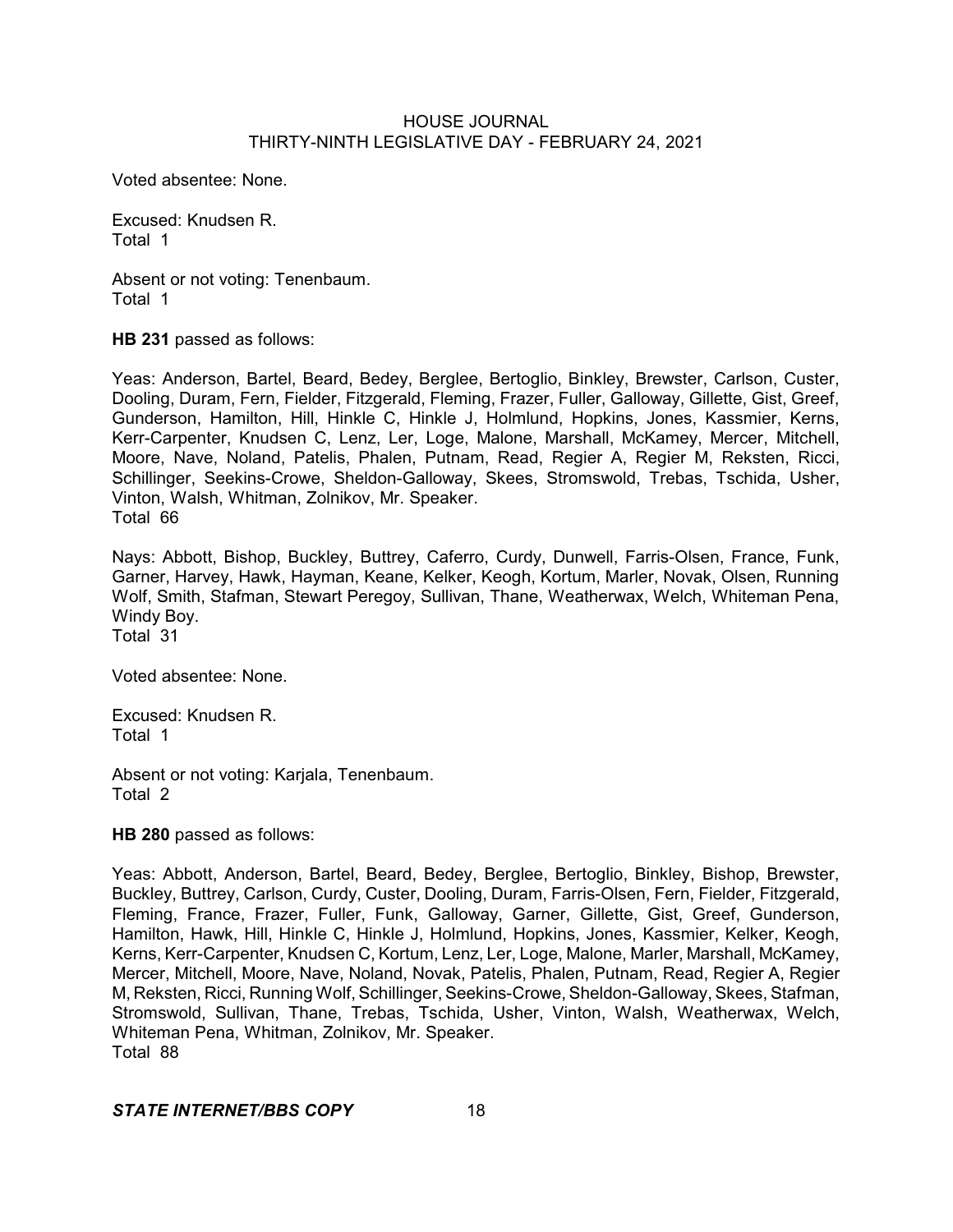Voted absentee: None.

Excused: Knudsen R. Total 1

Absent or not voting: Tenenbaum. Total 1

**HB 231** passed as follows:

Yeas: Anderson, Bartel, Beard, Bedey, Berglee, Bertoglio, Binkley, Brewster, Carlson, Custer, Dooling, Duram, Fern, Fielder, Fitzgerald, Fleming, Frazer, Fuller, Galloway, Gillette, Gist, Greef, Gunderson, Hamilton, Hill, Hinkle C, Hinkle J, Holmlund, Hopkins, Jones, Kassmier, Kerns, Kerr-Carpenter, Knudsen C, Lenz, Ler, Loge, Malone, Marshall, McKamey, Mercer, Mitchell, Moore, Nave, Noland, Patelis, Phalen, Putnam, Read, Regier A, Regier M, Reksten, Ricci, Schillinger, Seekins-Crowe, Sheldon-Galloway, Skees, Stromswold, Trebas, Tschida, Usher, Vinton, Walsh, Whitman, Zolnikov, Mr. Speaker. Total 66

Nays: Abbott, Bishop, Buckley, Buttrey, Caferro, Curdy, Dunwell, Farris-Olsen, France, Funk, Garner, Harvey, Hawk, Hayman, Keane, Kelker, Keogh, Kortum, Marler, Novak, Olsen, Running Wolf, Smith, Stafman, Stewart Peregoy, Sullivan, Thane, Weatherwax, Welch, Whiteman Pena, Windy Boy. Total 31

Voted absentee: None.

Excused: Knudsen R. Total 1

Absent or not voting: Karjala, Tenenbaum. Total 2

**HB 280** passed as follows:

Yeas: Abbott, Anderson, Bartel, Beard, Bedey, Berglee, Bertoglio, Binkley, Bishop, Brewster, Buckley, Buttrey, Carlson, Curdy, Custer, Dooling, Duram, Farris-Olsen, Fern, Fielder, Fitzgerald, Fleming, France, Frazer, Fuller, Funk, Galloway, Garner, Gillette, Gist, Greef, Gunderson, Hamilton, Hawk, Hill, Hinkle C, Hinkle J, Holmlund, Hopkins, Jones, Kassmier, Kelker, Keogh, Kerns, Kerr-Carpenter, Knudsen C, Kortum, Lenz, Ler, Loge, Malone, Marler, Marshall, McKamey, Mercer, Mitchell, Moore, Nave, Noland, Novak, Patelis, Phalen, Putnam, Read, Regier A, Regier M, Reksten, Ricci, Running Wolf, Schillinger, Seekins-Crowe, Sheldon-Galloway, Skees, Stafman, Stromswold, Sullivan, Thane, Trebas, Tschida, Usher, Vinton, Walsh, Weatherwax, Welch, Whiteman Pena, Whitman, Zolnikov, Mr. Speaker. Total 88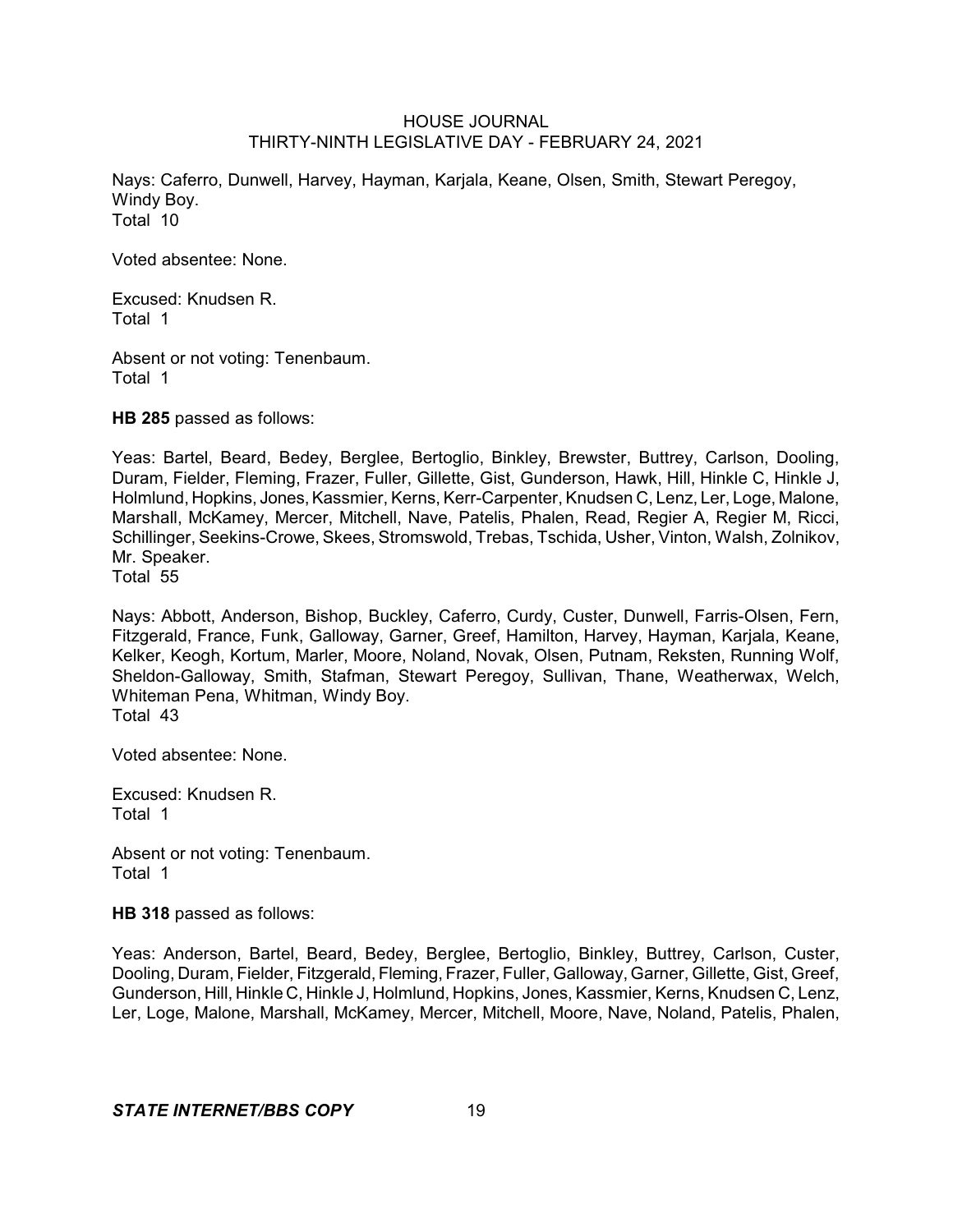Nays: Caferro, Dunwell, Harvey, Hayman, Karjala, Keane, Olsen, Smith, Stewart Peregoy, Windy Boy. Total 10

Voted absentee: None.

Excused: Knudsen R. Total 1

Absent or not voting: Tenenbaum. Total 1

**HB 285** passed as follows:

Yeas: Bartel, Beard, Bedey, Berglee, Bertoglio, Binkley, Brewster, Buttrey, Carlson, Dooling, Duram, Fielder, Fleming, Frazer, Fuller, Gillette, Gist, Gunderson, Hawk, Hill, Hinkle C, Hinkle J, Holmlund, Hopkins, Jones, Kassmier, Kerns, Kerr-Carpenter, Knudsen C, Lenz, Ler, Loge, Malone, Marshall, McKamey, Mercer, Mitchell, Nave, Patelis, Phalen, Read, Regier A, Regier M, Ricci, Schillinger, Seekins-Crowe, Skees, Stromswold, Trebas, Tschida, Usher, Vinton, Walsh, Zolnikov, Mr. Speaker.

Total 55

Nays: Abbott, Anderson, Bishop, Buckley, Caferro, Curdy, Custer, Dunwell, Farris-Olsen, Fern, Fitzgerald, France, Funk, Galloway, Garner, Greef, Hamilton, Harvey, Hayman, Karjala, Keane, Kelker, Keogh, Kortum, Marler, Moore, Noland, Novak, Olsen, Putnam, Reksten, Running Wolf, Sheldon-Galloway, Smith, Stafman, Stewart Peregoy, Sullivan, Thane, Weatherwax, Welch, Whiteman Pena, Whitman, Windy Boy. Total 43

Voted absentee: None.

Excused: Knudsen R. Total 1

Absent or not voting: Tenenbaum. Total 1

**HB 318** passed as follows:

Yeas: Anderson, Bartel, Beard, Bedey, Berglee, Bertoglio, Binkley, Buttrey, Carlson, Custer, Dooling, Duram, Fielder, Fitzgerald, Fleming, Frazer, Fuller, Galloway, Garner, Gillette, Gist, Greef, Gunderson, Hill, Hinkle C, Hinkle J, Holmlund, Hopkins, Jones, Kassmier, Kerns, Knudsen C, Lenz, Ler, Loge, Malone, Marshall, McKamey, Mercer, Mitchell, Moore, Nave, Noland, Patelis, Phalen,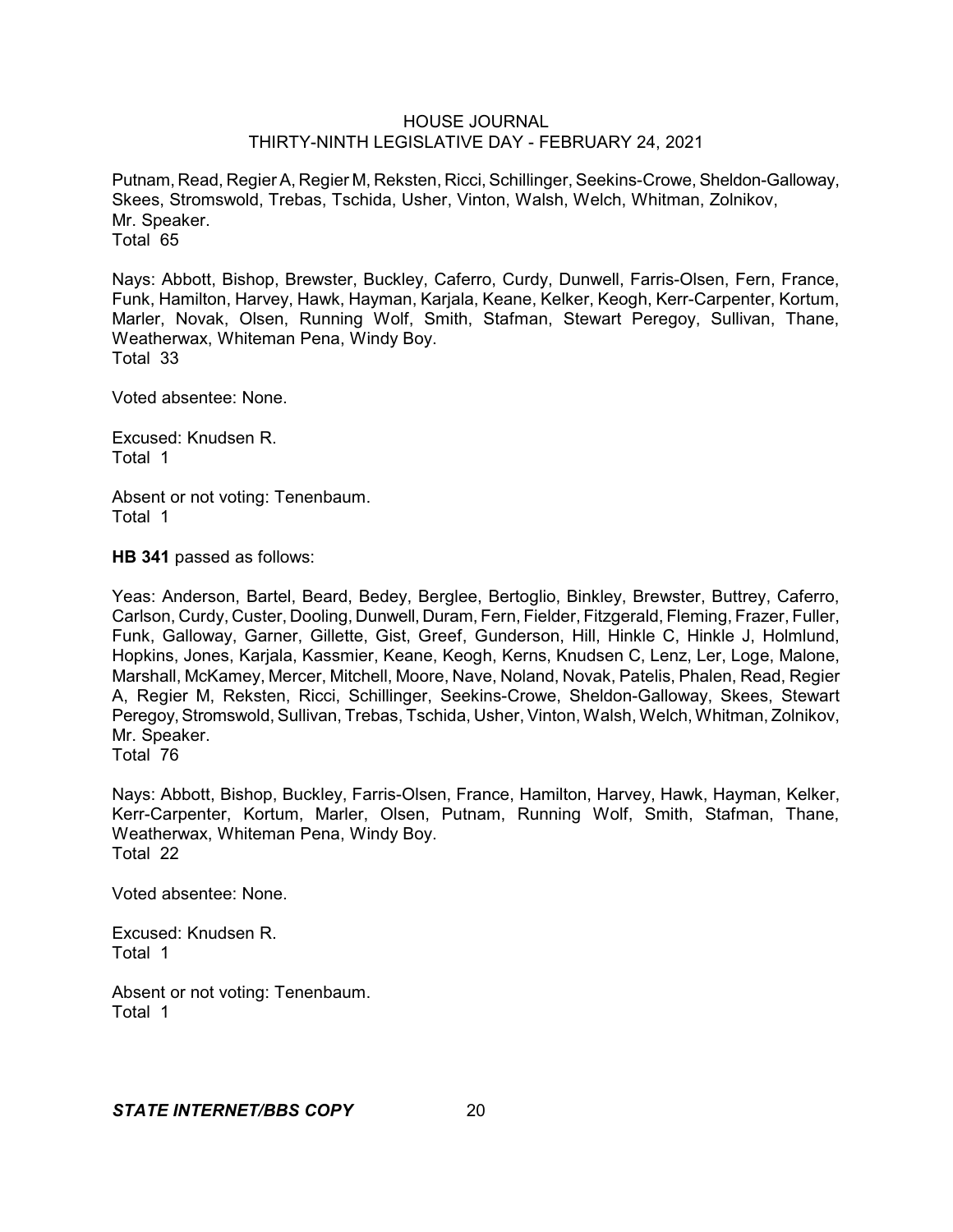Putnam, Read, RegierA, Regier M, Reksten, Ricci, Schillinger, Seekins-Crowe, Sheldon-Galloway, Skees, Stromswold, Trebas, Tschida, Usher, Vinton, Walsh, Welch, Whitman, Zolnikov, Mr. Speaker. Total 65

Nays: Abbott, Bishop, Brewster, Buckley, Caferro, Curdy, Dunwell, Farris-Olsen, Fern, France, Funk, Hamilton, Harvey, Hawk, Hayman, Karjala, Keane, Kelker, Keogh, Kerr-Carpenter, Kortum, Marler, Novak, Olsen, Running Wolf, Smith, Stafman, Stewart Peregoy, Sullivan, Thane, Weatherwax, Whiteman Pena, Windy Boy. Total 33

Voted absentee: None.

Excused: Knudsen R. Total 1

Absent or not voting: Tenenbaum. Total 1

**HB 341** passed as follows:

Yeas: Anderson, Bartel, Beard, Bedey, Berglee, Bertoglio, Binkley, Brewster, Buttrey, Caferro, Carlson, Curdy, Custer, Dooling, Dunwell, Duram, Fern, Fielder, Fitzgerald, Fleming, Frazer, Fuller, Funk, Galloway, Garner, Gillette, Gist, Greef, Gunderson, Hill, Hinkle C, Hinkle J, Holmlund, Hopkins, Jones, Karjala, Kassmier, Keane, Keogh, Kerns, Knudsen C, Lenz, Ler, Loge, Malone, Marshall, McKamey, Mercer, Mitchell, Moore, Nave, Noland, Novak, Patelis, Phalen, Read, Regier A, Regier M, Reksten, Ricci, Schillinger, Seekins-Crowe, Sheldon-Galloway, Skees, Stewart Peregoy, Stromswold, Sullivan, Trebas, Tschida, Usher, Vinton, Walsh, Welch, Whitman, Zolnikov, Mr. Speaker.

Total 76

Nays: Abbott, Bishop, Buckley, Farris-Olsen, France, Hamilton, Harvey, Hawk, Hayman, Kelker, Kerr-Carpenter, Kortum, Marler, Olsen, Putnam, Running Wolf, Smith, Stafman, Thane, Weatherwax, Whiteman Pena, Windy Boy. Total 22

Voted absentee: None.

Excused: Knudsen R. Total 1

Absent or not voting: Tenenbaum. Total 1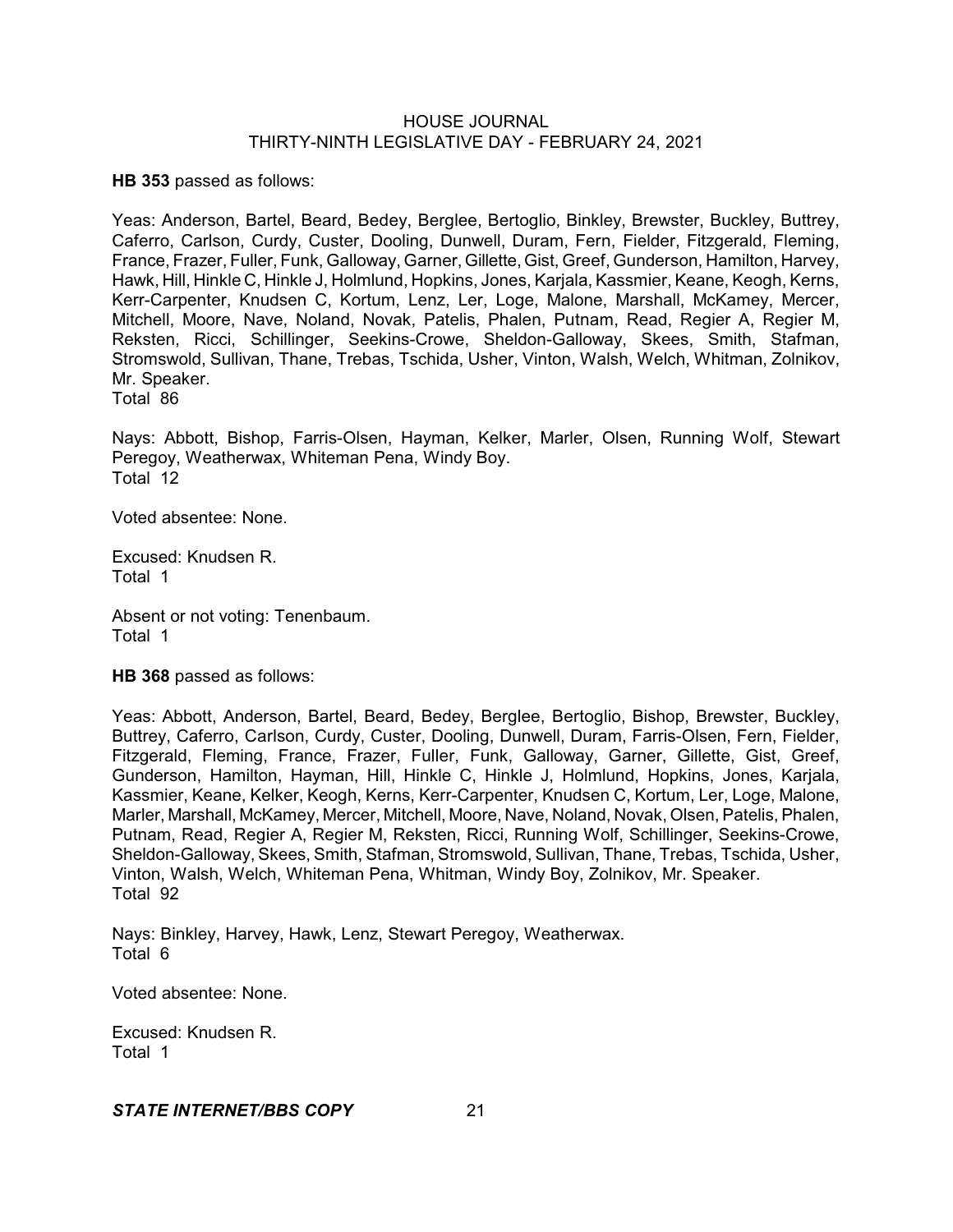**HB 353** passed as follows:

Yeas: Anderson, Bartel, Beard, Bedey, Berglee, Bertoglio, Binkley, Brewster, Buckley, Buttrey, Caferro, Carlson, Curdy, Custer, Dooling, Dunwell, Duram, Fern, Fielder, Fitzgerald, Fleming, France, Frazer, Fuller, Funk, Galloway, Garner,Gillette, Gist, Greef, Gunderson, Hamilton, Harvey, Hawk, Hill, Hinkle C, Hinkle J, Holmlund, Hopkins, Jones, Karjala, Kassmier, Keane, Keogh, Kerns, Kerr-Carpenter, Knudsen C, Kortum, Lenz, Ler, Loge, Malone, Marshall, McKamey, Mercer, Mitchell, Moore, Nave, Noland, Novak, Patelis, Phalen, Putnam, Read, Regier A, Regier M, Reksten, Ricci, Schillinger, Seekins-Crowe, Sheldon-Galloway, Skees, Smith, Stafman, Stromswold, Sullivan, Thane, Trebas, Tschida, Usher, Vinton, Walsh, Welch, Whitman, Zolnikov, Mr. Speaker. Total 86

Nays: Abbott, Bishop, Farris-Olsen, Hayman, Kelker, Marler, Olsen, Running Wolf, Stewart Peregoy, Weatherwax, Whiteman Pena, Windy Boy. Total 12

Voted absentee: None.

Excused: Knudsen R. Total 1

Absent or not voting: Tenenbaum. Total 1

**HB 368** passed as follows:

Yeas: Abbott, Anderson, Bartel, Beard, Bedey, Berglee, Bertoglio, Bishop, Brewster, Buckley, Buttrey, Caferro, Carlson, Curdy, Custer, Dooling, Dunwell, Duram, Farris-Olsen, Fern, Fielder, Fitzgerald, Fleming, France, Frazer, Fuller, Funk, Galloway, Garner, Gillette, Gist, Greef, Gunderson, Hamilton, Hayman, Hill, Hinkle C, Hinkle J, Holmlund, Hopkins, Jones, Karjala, Kassmier, Keane, Kelker, Keogh, Kerns, Kerr-Carpenter, Knudsen C, Kortum, Ler, Loge, Malone, Marler, Marshall, McKamey, Mercer, Mitchell, Moore, Nave, Noland, Novak, Olsen, Patelis, Phalen, Putnam, Read, Regier A, Regier M, Reksten, Ricci, Running Wolf, Schillinger, Seekins-Crowe, Sheldon-Galloway, Skees, Smith, Stafman, Stromswold, Sullivan, Thane, Trebas, Tschida, Usher, Vinton, Walsh, Welch, Whiteman Pena, Whitman, Windy Boy, Zolnikov, Mr. Speaker. Total 92

Nays: Binkley, Harvey, Hawk, Lenz, Stewart Peregoy, Weatherwax. Total 6

Voted absentee: None.

Excused: Knudsen R. Total 1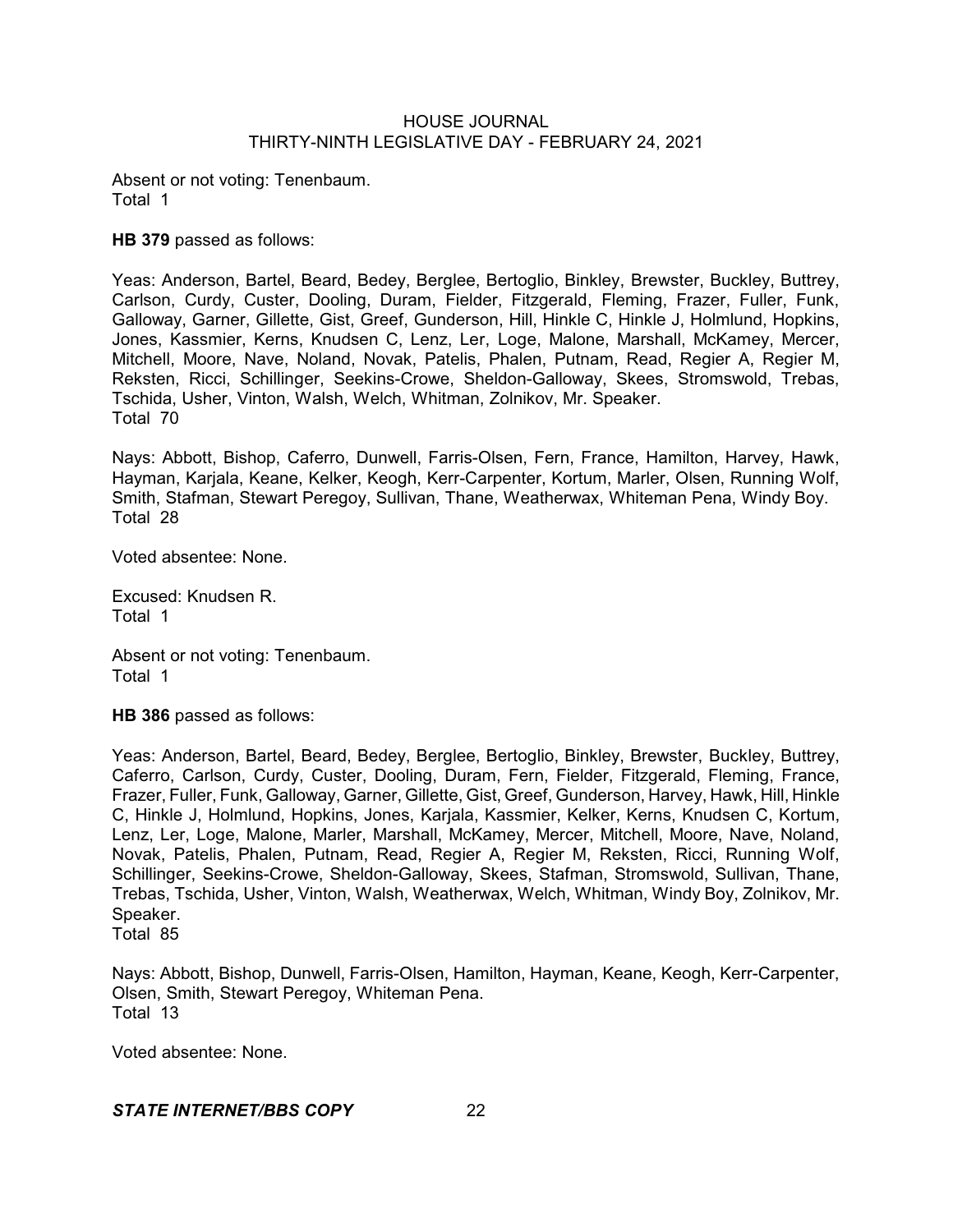Absent or not voting: Tenenbaum. Total 1

**HB 379** passed as follows:

Yeas: Anderson, Bartel, Beard, Bedey, Berglee, Bertoglio, Binkley, Brewster, Buckley, Buttrey, Carlson, Curdy, Custer, Dooling, Duram, Fielder, Fitzgerald, Fleming, Frazer, Fuller, Funk, Galloway, Garner, Gillette, Gist, Greef, Gunderson, Hill, Hinkle C, Hinkle J, Holmlund, Hopkins, Jones, Kassmier, Kerns, Knudsen C, Lenz, Ler, Loge, Malone, Marshall, McKamey, Mercer, Mitchell, Moore, Nave, Noland, Novak, Patelis, Phalen, Putnam, Read, Regier A, Regier M, Reksten, Ricci, Schillinger, Seekins-Crowe, Sheldon-Galloway, Skees, Stromswold, Trebas, Tschida, Usher, Vinton, Walsh, Welch, Whitman, Zolnikov, Mr. Speaker. Total 70

Nays: Abbott, Bishop, Caferro, Dunwell, Farris-Olsen, Fern, France, Hamilton, Harvey, Hawk, Hayman, Karjala, Keane, Kelker, Keogh, Kerr-Carpenter, Kortum, Marler, Olsen, Running Wolf, Smith, Stafman, Stewart Peregoy, Sullivan, Thane, Weatherwax, Whiteman Pena, Windy Boy. Total 28

Voted absentee: None.

Excused: Knudsen R. Total 1

Absent or not voting: Tenenbaum. Total 1

**HB 386** passed as follows:

Yeas: Anderson, Bartel, Beard, Bedey, Berglee, Bertoglio, Binkley, Brewster, Buckley, Buttrey, Caferro, Carlson, Curdy, Custer, Dooling, Duram, Fern, Fielder, Fitzgerald, Fleming, France, Frazer, Fuller, Funk, Galloway, Garner, Gillette, Gist, Greef, Gunderson, Harvey, Hawk, Hill, Hinkle C, Hinkle J, Holmlund, Hopkins, Jones, Karjala, Kassmier, Kelker, Kerns, Knudsen C, Kortum, Lenz, Ler, Loge, Malone, Marler, Marshall, McKamey, Mercer, Mitchell, Moore, Nave, Noland, Novak, Patelis, Phalen, Putnam, Read, Regier A, Regier M, Reksten, Ricci, Running Wolf, Schillinger, Seekins-Crowe, Sheldon-Galloway, Skees, Stafman, Stromswold, Sullivan, Thane, Trebas, Tschida, Usher, Vinton, Walsh, Weatherwax, Welch, Whitman, Windy Boy, Zolnikov, Mr. Speaker.

Total 85

Nays: Abbott, Bishop, Dunwell, Farris-Olsen, Hamilton, Hayman, Keane, Keogh, Kerr-Carpenter, Olsen, Smith, Stewart Peregoy, Whiteman Pena. Total 13

Voted absentee: None.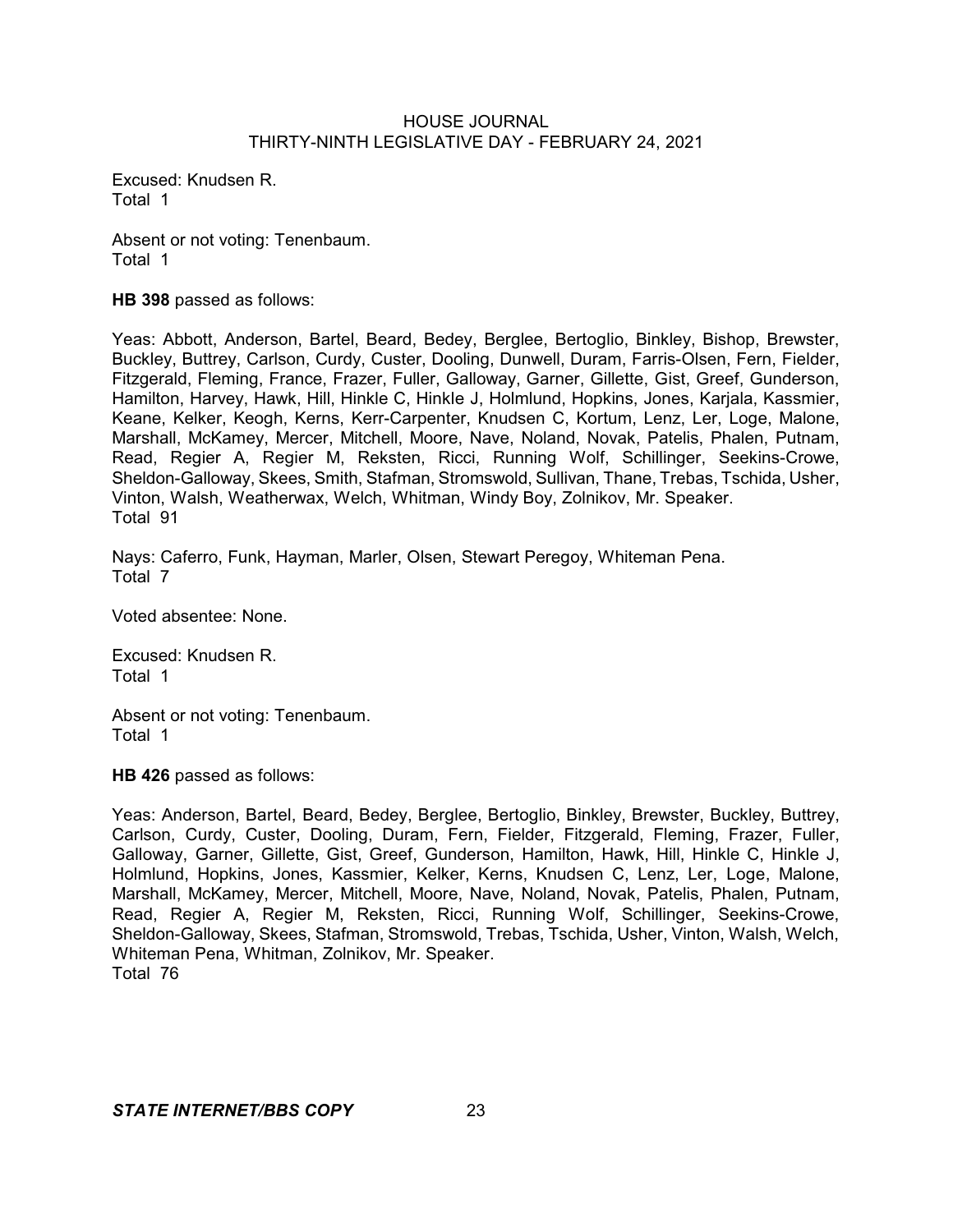Excused: Knudsen R. Total 1

Absent or not voting: Tenenbaum. Total 1

**HB 398** passed as follows:

Yeas: Abbott, Anderson, Bartel, Beard, Bedey, Berglee, Bertoglio, Binkley, Bishop, Brewster, Buckley, Buttrey, Carlson, Curdy, Custer, Dooling, Dunwell, Duram, Farris-Olsen, Fern, Fielder, Fitzgerald, Fleming, France, Frazer, Fuller, Galloway, Garner, Gillette, Gist, Greef, Gunderson, Hamilton, Harvey, Hawk, Hill, Hinkle C, Hinkle J, Holmlund, Hopkins, Jones, Karjala, Kassmier, Keane, Kelker, Keogh, Kerns, Kerr-Carpenter, Knudsen C, Kortum, Lenz, Ler, Loge, Malone, Marshall, McKamey, Mercer, Mitchell, Moore, Nave, Noland, Novak, Patelis, Phalen, Putnam, Read, Regier A, Regier M, Reksten, Ricci, Running Wolf, Schillinger, Seekins-Crowe, Sheldon-Galloway, Skees, Smith, Stafman, Stromswold, Sullivan, Thane, Trebas, Tschida, Usher, Vinton, Walsh, Weatherwax, Welch, Whitman, Windy Boy, Zolnikov, Mr. Speaker. Total 91

Nays: Caferro, Funk, Hayman, Marler, Olsen, Stewart Peregoy, Whiteman Pena. Total 7

Voted absentee: None.

Excused: Knudsen R. Total 1

Absent or not voting: Tenenbaum. Total 1

**HB 426** passed as follows:

Yeas: Anderson, Bartel, Beard, Bedey, Berglee, Bertoglio, Binkley, Brewster, Buckley, Buttrey, Carlson, Curdy, Custer, Dooling, Duram, Fern, Fielder, Fitzgerald, Fleming, Frazer, Fuller, Galloway, Garner, Gillette, Gist, Greef, Gunderson, Hamilton, Hawk, Hill, Hinkle C, Hinkle J, Holmlund, Hopkins, Jones, Kassmier, Kelker, Kerns, Knudsen C, Lenz, Ler, Loge, Malone, Marshall, McKamey, Mercer, Mitchell, Moore, Nave, Noland, Novak, Patelis, Phalen, Putnam, Read, Regier A, Regier M, Reksten, Ricci, Running Wolf, Schillinger, Seekins-Crowe, Sheldon-Galloway, Skees, Stafman, Stromswold, Trebas, Tschida, Usher, Vinton, Walsh, Welch, Whiteman Pena, Whitman, Zolnikov, Mr. Speaker. Total 76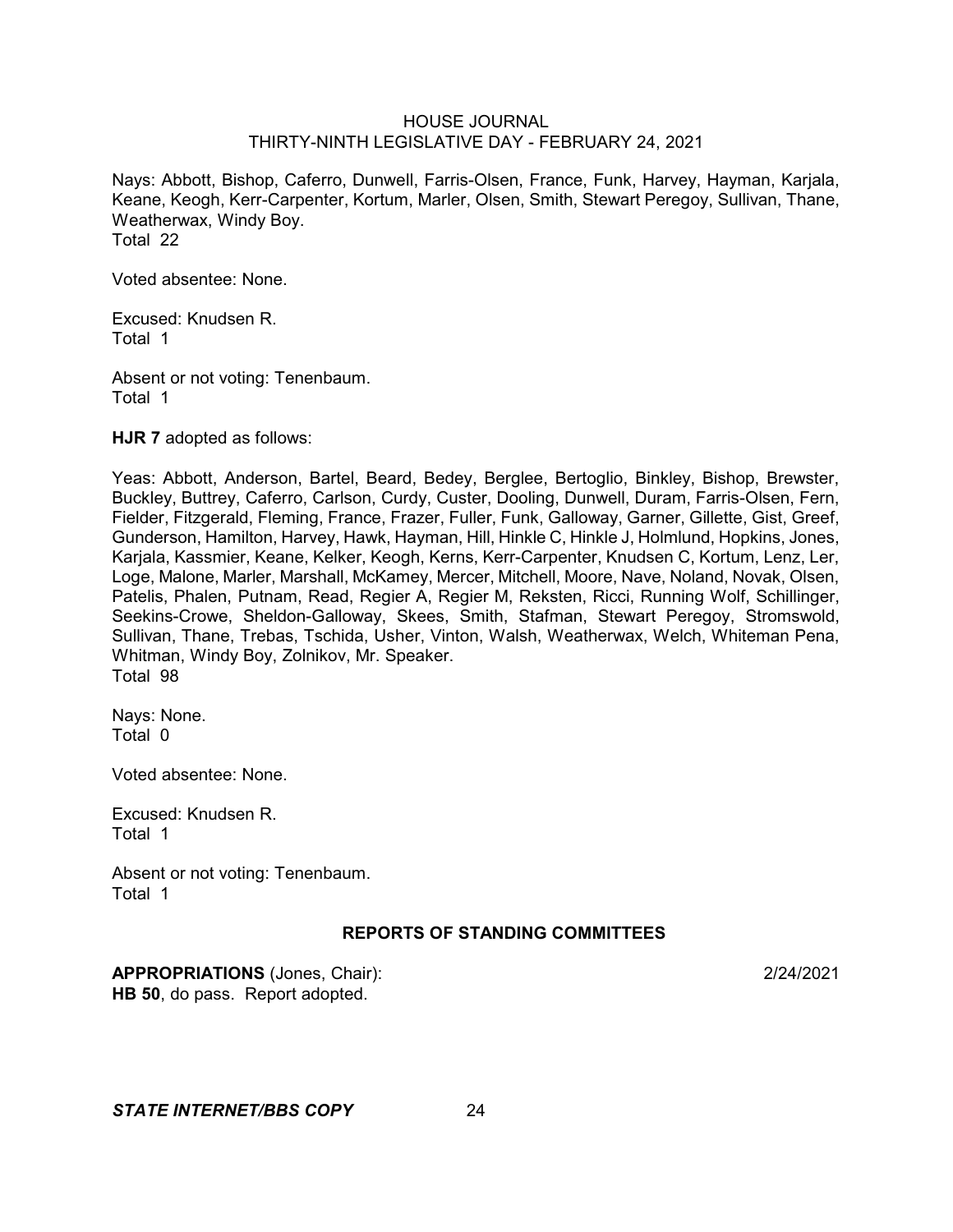Nays: Abbott, Bishop, Caferro, Dunwell, Farris-Olsen, France, Funk, Harvey, Hayman, Karjala, Keane, Keogh, Kerr-Carpenter, Kortum, Marler, Olsen, Smith, Stewart Peregoy, Sullivan, Thane, Weatherwax, Windy Boy. Total 22

Voted absentee: None.

Excused: Knudsen R. Total 1

Absent or not voting: Tenenbaum. Total 1

**HJR 7** adopted as follows:

Yeas: Abbott, Anderson, Bartel, Beard, Bedey, Berglee, Bertoglio, Binkley, Bishop, Brewster, Buckley, Buttrey, Caferro, Carlson, Curdy, Custer, Dooling, Dunwell, Duram, Farris-Olsen, Fern, Fielder, Fitzgerald, Fleming, France, Frazer, Fuller, Funk, Galloway, Garner, Gillette, Gist, Greef, Gunderson, Hamilton, Harvey, Hawk, Hayman, Hill, Hinkle C, Hinkle J, Holmlund, Hopkins, Jones, Karjala, Kassmier, Keane, Kelker, Keogh, Kerns, Kerr-Carpenter, Knudsen C, Kortum, Lenz, Ler, Loge, Malone, Marler, Marshall, McKamey, Mercer, Mitchell, Moore, Nave, Noland, Novak, Olsen, Patelis, Phalen, Putnam, Read, Regier A, Regier M, Reksten, Ricci, Running Wolf, Schillinger, Seekins-Crowe, Sheldon-Galloway, Skees, Smith, Stafman, Stewart Peregoy, Stromswold, Sullivan, Thane, Trebas, Tschida, Usher, Vinton, Walsh, Weatherwax, Welch, Whiteman Pena, Whitman, Windy Boy, Zolnikov, Mr. Speaker. Total 98

Nays: None. Total 0

Voted absentee: None.

Excused: Knudsen R. Total 1

Absent or not voting: Tenenbaum. Total 1

# **REPORTS OF STANDING COMMITTEES**

**APPROPRIATIONS** (Jones, Chair): 2/24/2021 **HB 50**, do pass. Report adopted.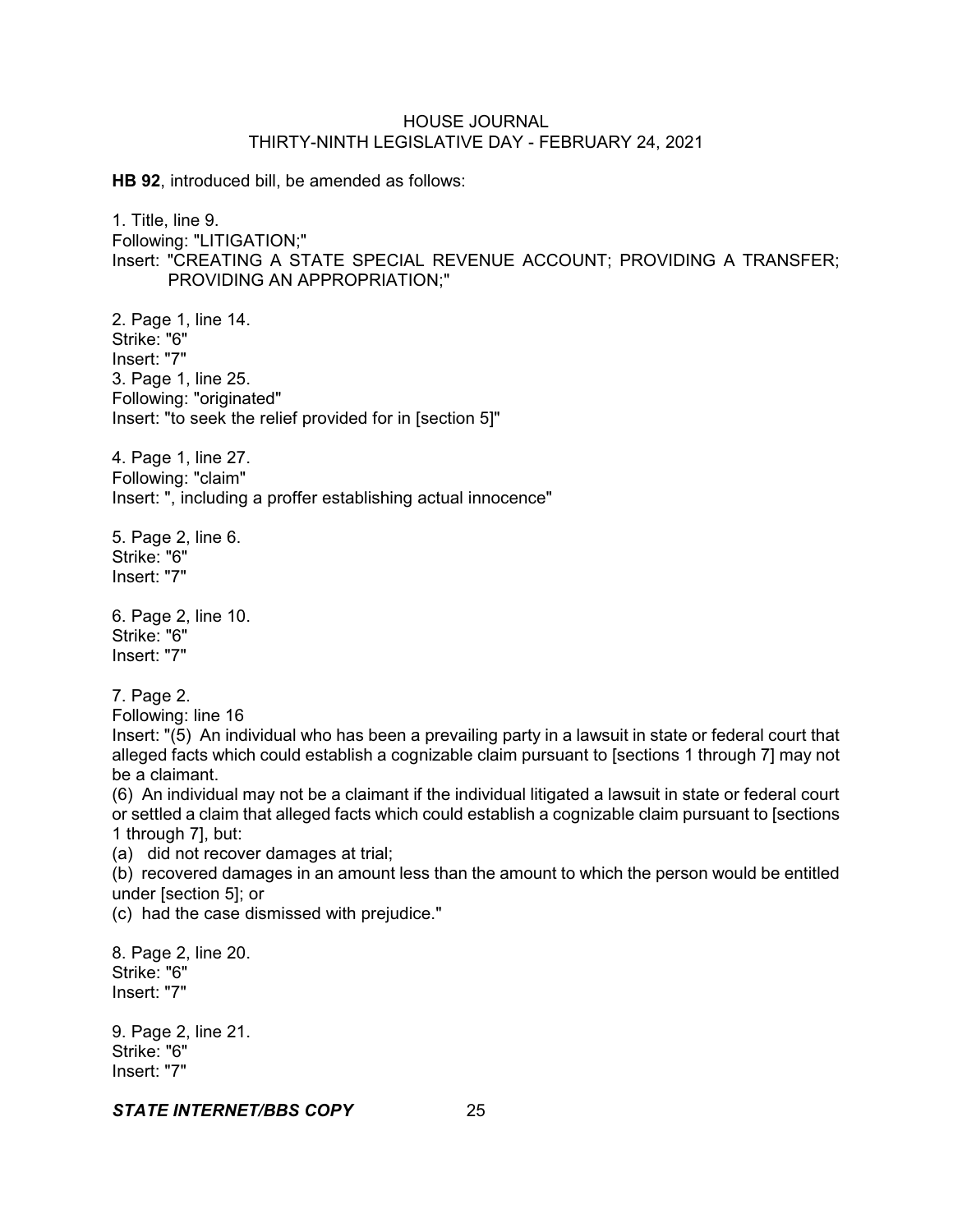**HB 92**, introduced bill, be amended as follows:

1. Title, line 9. Following: "LITIGATION;" Insert: "CREATING A STATE SPECIAL REVENUE ACCOUNT; PROVIDING A TRANSFER; PROVIDING AN APPROPRIATION;"

2. Page 1, line 14. Strike: "6" Insert: "7" 3. Page 1, line 25. Following: "originated" Insert: "to seek the relief provided for in [section 5]"

4. Page 1, line 27. Following: "claim" Insert: ", including a proffer establishing actual innocence"

5. Page 2, line 6. Strike: "6" Insert: "7"

6. Page 2, line 10. Strike: "6" Insert: "7"

7. Page 2.

Following: line 16

Insert: "(5) An individual who has been a prevailing party in a lawsuit in state or federal court that alleged facts which could establish a cognizable claim pursuant to [sections 1 through 7] may not be a claimant.

(6) An individual may not be a claimant if the individual litigated a lawsuit in state or federal court or settled a claim that alleged facts which could establish a cognizable claim pursuant to [sections 1 through 7], but:

(a) did not recover damages at trial;

(b) recovered damages in an amount less than the amount to which the person would be entitled under [section 5]; or

(c) had the case dismissed with prejudice."

8. Page 2, line 20. Strike: "6" Insert: "7"

9. Page 2, line 21. Strike: "6" Insert: "7"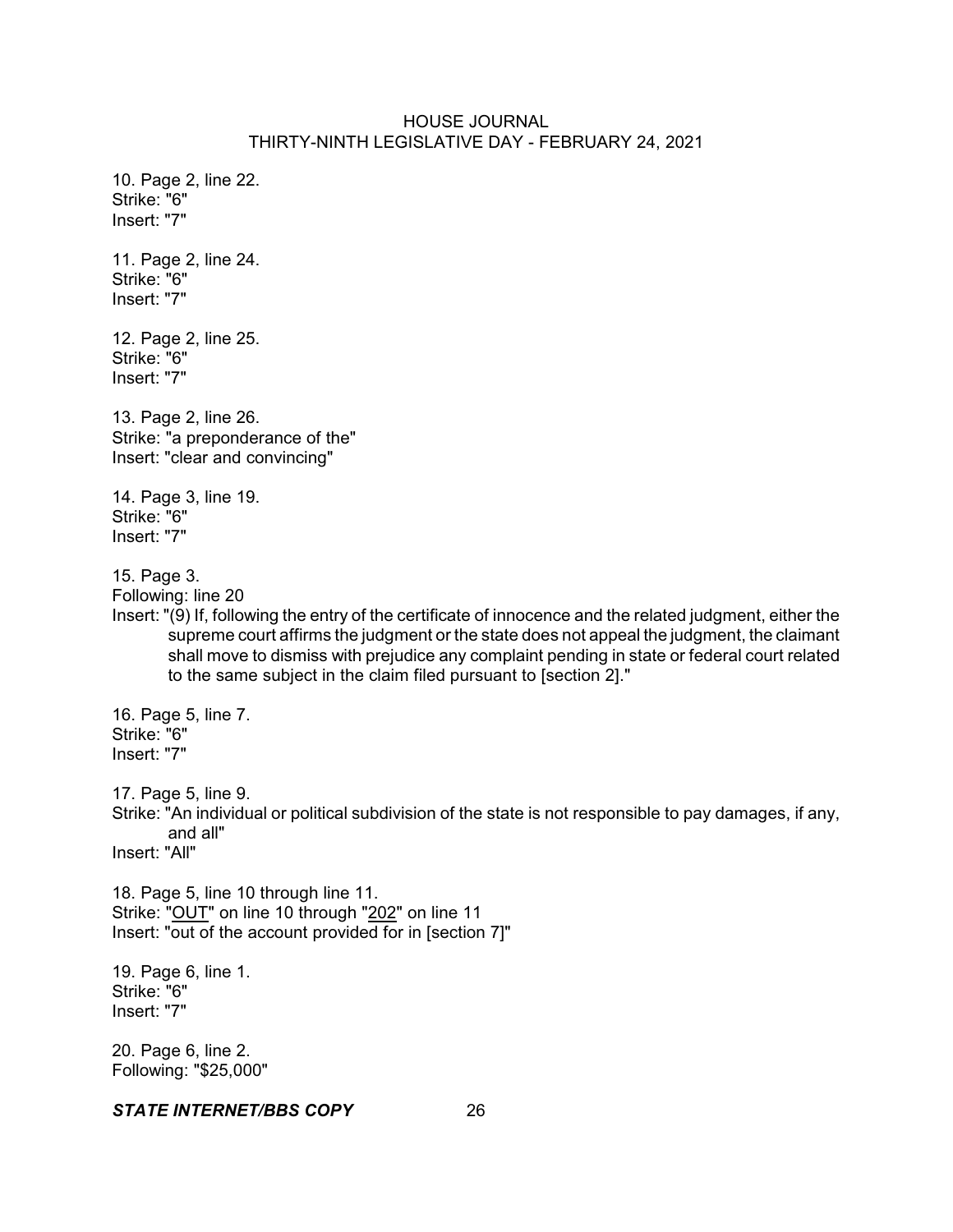10. Page 2, line 22. Strike: "6" Insert: "7" 11. Page 2, line 24. Strike: "6" Insert: "7" 12. Page 2, line 25. Strike: "6" Insert: "7" 13. Page 2, line 26. Strike: "a preponderance of the" Insert: "clear and convincing" 14. Page 3, line 19. Strike: "6" Insert: "7" 15. Page 3. Following: line 20 Insert: "(9) If, following the entry of the certificate of innocence and the related judgment, either the supreme court affirms the judgment or the state does not appeal the judgment, the claimant shall move to dismiss with prejudice any complaint pending in state or federal court related to the same subject in the claim filed pursuant to [section 2]." 16. Page 5, line 7. Strike: "6" Insert: "7" 17. Page 5, line 9. Strike: "An individual or political subdivision of the state is not responsible to pay damages, if any, and all" Insert: "All" 18. Page 5, line 10 through line 11. Strike: "OUT" on line 10 through "202" on line 11 Insert: "out of the account provided for in [section 7]" 19. Page 6, line 1. Strike: "6" Insert: "7" 20. Page 6, line 2.

Following: "\$25,000"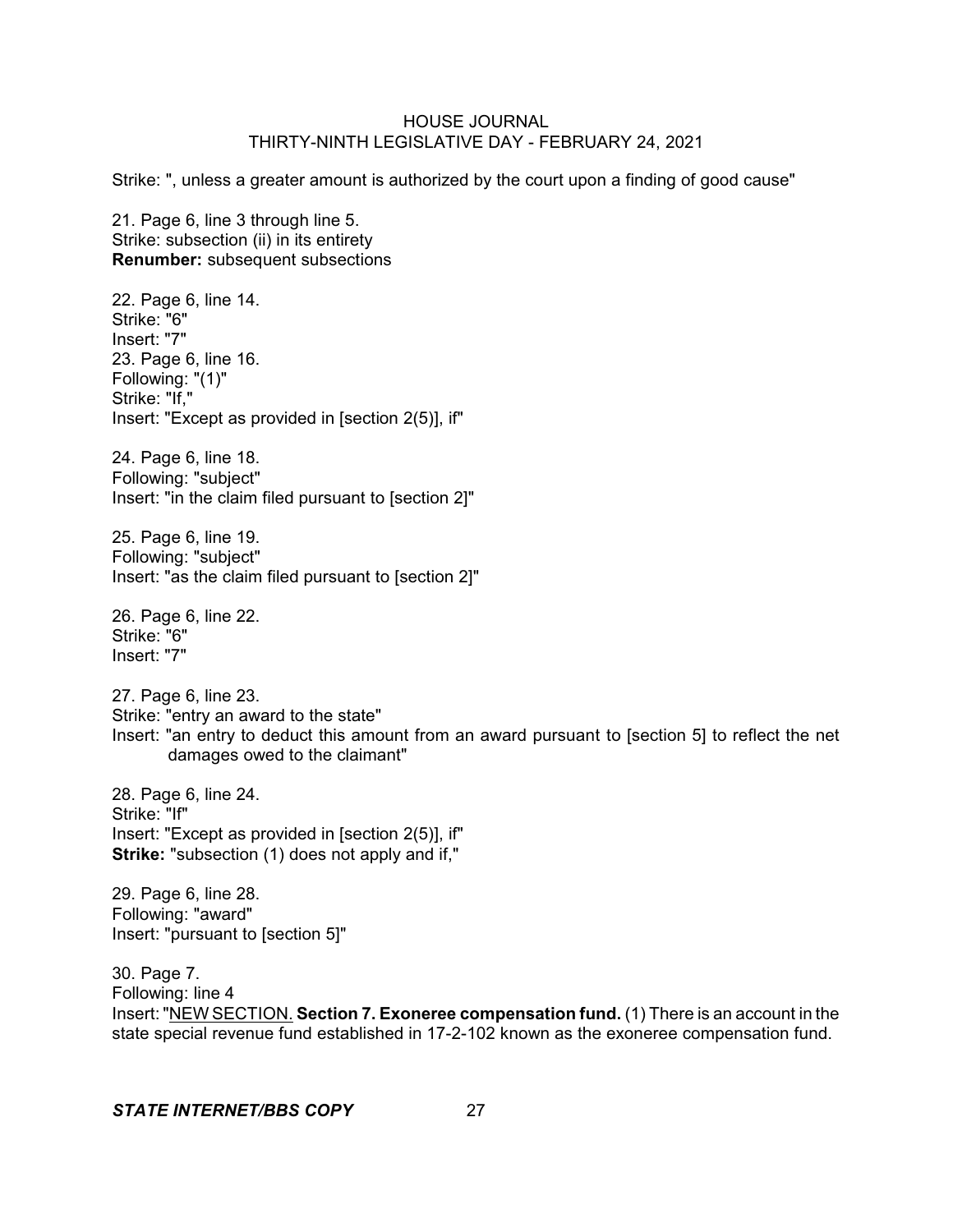Strike: ", unless a greater amount is authorized by the court upon a finding of good cause"

21. Page 6, line 3 through line 5. Strike: subsection (ii) in its entirety **Renumber:** subsequent subsections

22. Page 6, line 14. Strike: "6" Insert: "7" 23. Page 6, line 16. Following: "(1)" Strike: "If," Insert: "Except as provided in [section 2(5)], if"

24. Page 6, line 18. Following: "subject" Insert: "in the claim filed pursuant to [section 2]"

25. Page 6, line 19. Following: "subject" Insert: "as the claim filed pursuant to [section 2]"

26. Page 6, line 22. Strike: "6" Insert: "7"

27. Page 6, line 23. Strike: "entry an award to the state" Insert: "an entry to deduct this amount from an award pursuant to [section 5] to reflect the net damages owed to the claimant"

28. Page 6, line 24. Strike: "If" Insert: "Except as provided in [section 2(5)], if" **Strike:** "subsection (1) does not apply and if,"

29. Page 6, line 28. Following: "award" Insert: "pursuant to [section 5]"

30. Page 7. Following: line 4 Insert: "NEW SECTION. **Section 7. Exoneree compensation fund.** (1) There is an account in the state special revenue fund established in 17-2-102 known as the exoneree compensation fund.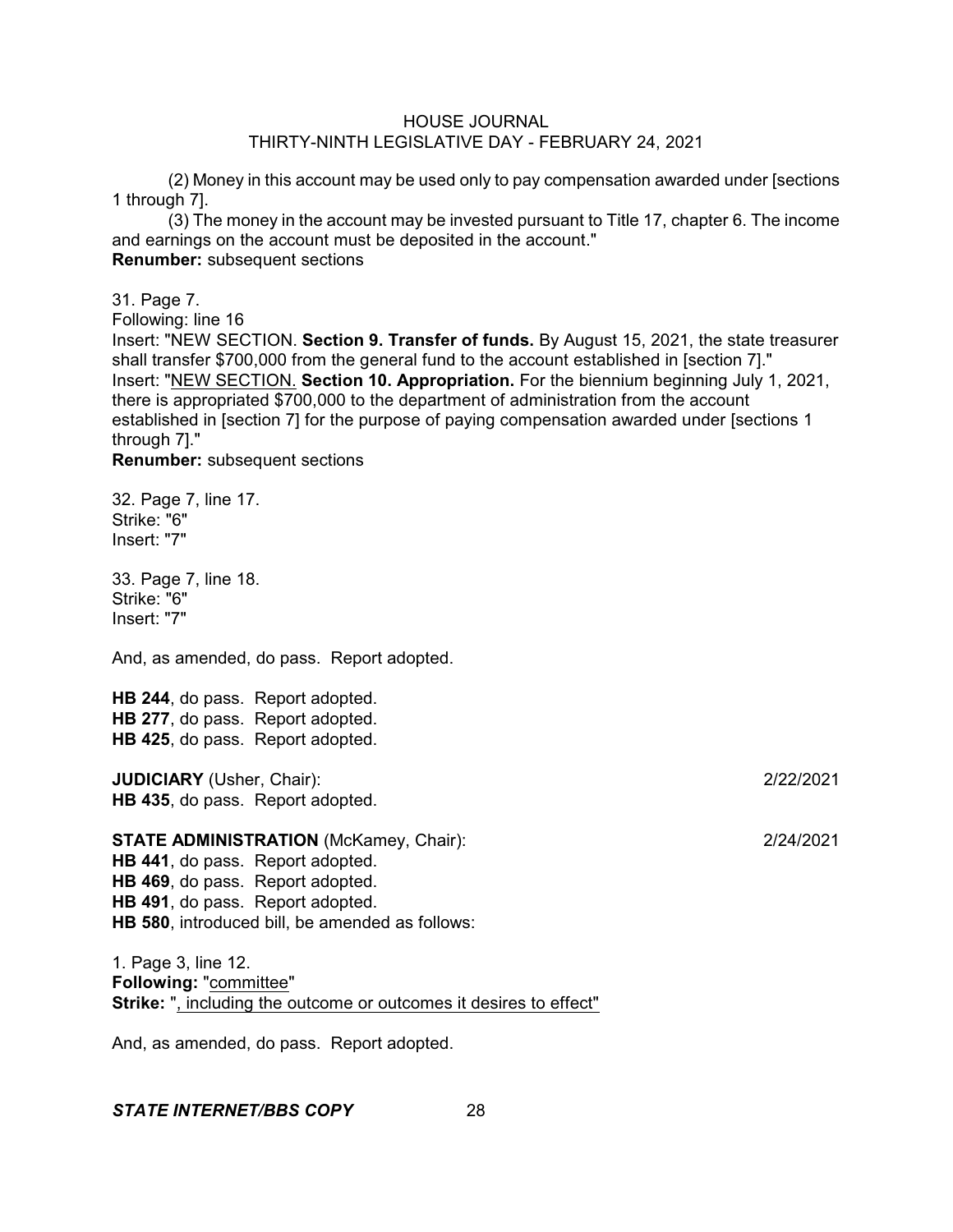(2) Money in this account may be used only to pay compensation awarded under [sections 1 through 7].

(3) The money in the account may be invested pursuant to Title 17, chapter 6. The income and earnings on the account must be deposited in the account." **Renumber:** subsequent sections

31. Page 7.

Following: line 16

Insert: "NEW SECTION. **Section 9. Transfer of funds.** By August 15, 2021, the state treasurer shall transfer \$700,000 from the general fund to the account established in [section 7]." Insert: "NEW SECTION. **Section 10. Appropriation.** For the biennium beginning July 1, 2021, there is appropriated \$700,000 to the department of administration from the account established in [section 7] for the purpose of paying compensation awarded under [sections 1 through 7]."

**Renumber:** subsequent sections

32. Page 7, line 17. Strike: "6" Insert: "7"

33. Page 7, line 18. Strike: "6" Insert: "7"

And, as amended, do pass. Report adopted.

**HB 244**, do pass. Report adopted. **HB 277**, do pass. Report adopted. **HB 425**, do pass. Report adopted.

**JUDICIARY** (Usher, Chair): 2/22/2021 **HB 435**, do pass. Report adopted.

**STATE ADMINISTRATION** (McKamey, Chair): 2/24/2021 **HB 441**, do pass. Report adopted. **HB 469**, do pass. Report adopted. **HB 491**, do pass. Report adopted. **HB 580**, introduced bill, be amended as follows:

1. Page 3, line 12. **Following:** "committee" **Strike:** ", including the outcome or outcomes it desires to effect"

And, as amended, do pass. Report adopted.